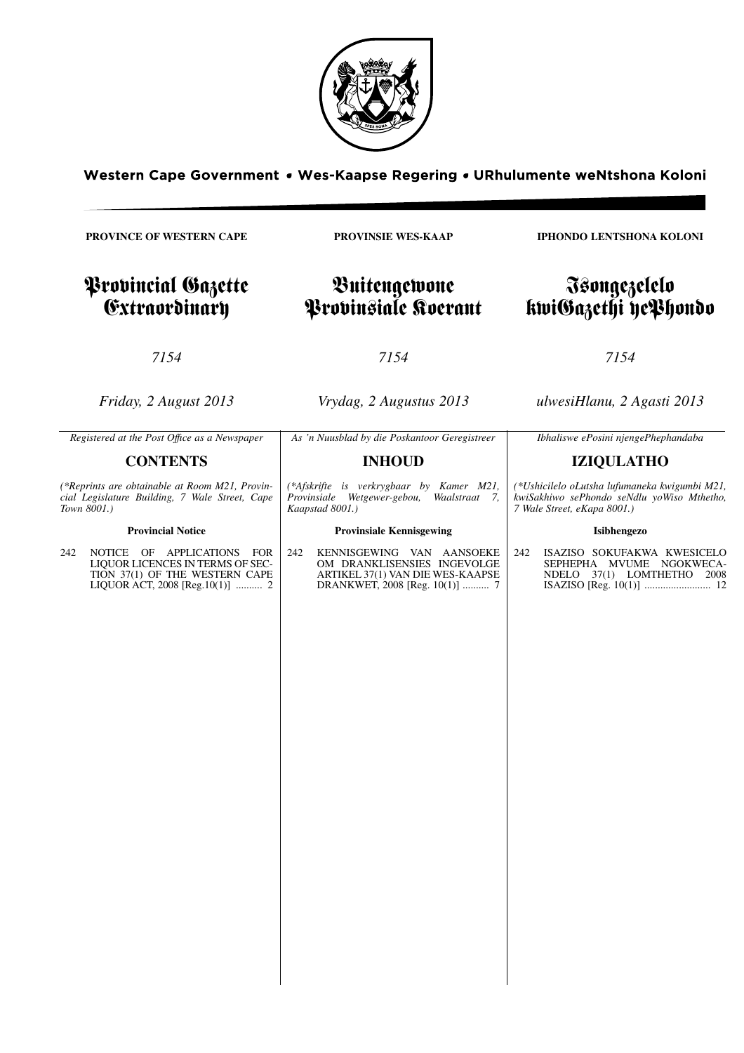

Western Cape Government . Wes-Kaapse Regering . URhulumente weNtshona Koloni

**PROVINCE OF WESTERN CAPE**

Provincial Gazette Extraordinary

**PROVINSIE WES-KAAP**

# Buitengewone Provinsiale Koerant

*7154*

*Friday, 2 August 2013*

*Vrydag, 2 Augustus 2013*

*7154*

*ulwesiHlanu, 2 Agasti 2013*

| Registered at the Post Office as a Newspaper                                                                                                  | As 'n Nuusblad by die Poskantoor Geregistreer                                                                                         | Ibhaliswe ePosini njengePhephandaba                                                                                        |  |  |
|-----------------------------------------------------------------------------------------------------------------------------------------------|---------------------------------------------------------------------------------------------------------------------------------------|----------------------------------------------------------------------------------------------------------------------------|--|--|
| <b>CONTENTS</b>                                                                                                                               | <b>INHOUD</b>                                                                                                                         | <b>IZIQULATHO</b>                                                                                                          |  |  |
| (*Reprints are obtainable at Room M21, Provin-<br>cial Legislature Building, 7 Wale Street, Cape<br>Town 8001.)                               | (*Afskrifte is verkrygbaar by Kamer M21,<br>Provinsiale<br>Wetgewer-gebou,<br>Waalstraat 7,<br>Kaapstad 8001.)                        | (*Ushicilelo oLutsha lufumaneka kwigumbi M21,<br>kwiSakhiwo sePhondo seNdlu yoWiso Mthetho,<br>7 Wale Street, eKapa 8001.) |  |  |
| <b>Provincial Notice</b>                                                                                                                      | <b>Provinsiale Kennisgewing</b>                                                                                                       | Isibhengezo                                                                                                                |  |  |
| OF APPLICATIONS FOR<br>242<br>NOTICE<br>LIQUOR LICENCES IN TERMS OF SEC-<br>TION 37(1) OF THE WESTERN CAPE<br>LIQUOR ACT, 2008 [Reg.10(1)]  2 | 242<br>KENNISGEWING VAN AANSOEKE<br>OM DRANKLISENSIES INGEVOLGE<br>ARTIKEL 37(1) VAN DIE WES-KAAPSE<br>DRANKWET, 2008 [Reg. 10(1)]  7 | ISAZISO SOKUFAKWA KWESICELO<br>242<br>SEPHEPHA MVUME NGOKWECA-<br>37(1) LOMTHETHO 2008<br>NDELO                            |  |  |

**IPHONDO LENTSHONA KOLONI**

# Isongezelelo kwiGazethi yePhondo

*7154*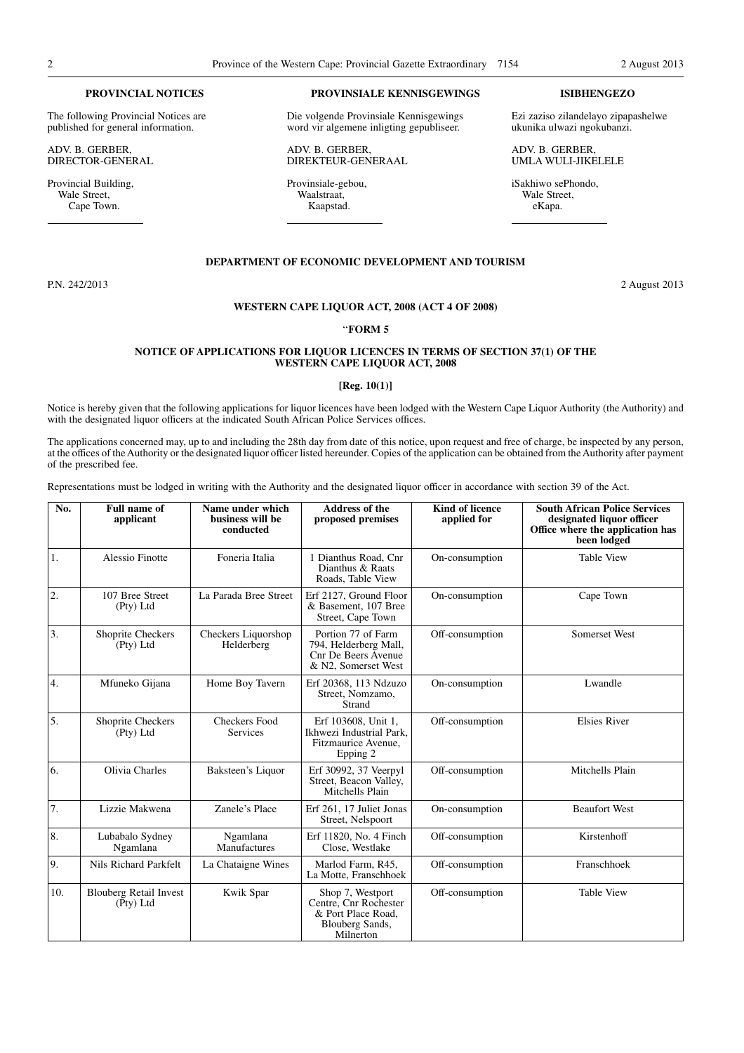#### **PROVINCIAL NOTICES**

The following Provincial Notices are published for general information.

ADV. B. GERBER, DIRECTOR-GENERAL

Provincial Building, Wale Street, Cape Town.

#### **PROVINSIALE KENNISGEWINGS**

Die volgende Provinsiale Kennisgewings word vir algemene inligting gepubliseer.

ADV. B. GERBER, DIREKTEUR-GENERAAL

Provinsiale-gebou, Waalstraat, Kaapstad.

### **ISIBHENGEZO**

Ezi zaziso zilandelayo zipapashelwe ukunika ulwazi ngokubanzi.

ADV. B. GERBER, UMLA WULI-JIKELELE

iSakhiwo sePhondo, Wale Street, eKapa.

#### **DEPARTMENT OF ECONOMIC DEVELOPMENT AND TOURISM**

P.N. 242/2013 2 August 2013

# **WESTERN CAPE LIQUOR ACT, 2008 (ACT 4 OF 2008)**

## ''**FORM 5**

## **NOTICE OF APPLICATIONS FOR LIQUOR LICENCES IN TERMS OF SECTION 37(1) OF THE WESTERN CAPE LIQUOR ACT, 2008**

#### **[Reg. 10(1)]**

Notice is hereby given that the following applications for liquor licences have been lodged with the Western Cape Liquor Authority (the Authority) and with the designated liquor officers at the indicated South African Police Services offices.

The applications concerned may, up to and including the 28th day from date of this notice, upon request and free of charge, be inspected by any person, at the offices of the Authority or the designated liquor officer listed hereunder. Copies of the application can be obtained from the Authority after payment of the prescribed fee.

Representations must be lodged in writing with the Authority and the designated liquor officer in accordance with section 39 of the Act.

| No. | <b>Full name of</b><br>applicant                   | Name under which<br>business will be<br>conducted | <b>Address of the</b><br>proposed premises                                                      | <b>Kind of licence</b><br>applied for | <b>South African Police Services</b><br>designated liquor officer<br>Office where the application has<br>been lodged |
|-----|----------------------------------------------------|---------------------------------------------------|-------------------------------------------------------------------------------------------------|---------------------------------------|----------------------------------------------------------------------------------------------------------------------|
| 1.  | <b>Alessio Finotte</b>                             | Foneria Italia                                    | 1 Dianthus Road, Cnr<br>Dianthus & Raats<br>Roads, Table View                                   | On-consumption                        | <b>Table View</b>                                                                                                    |
| 2.  | 107 Bree Street<br>(Pty) Ltd                       | La Parada Bree Street                             | Erf 2127, Ground Floor<br>& Basement, 107 Bree<br>Street, Cape Town                             | On-consumption                        | Cape Town                                                                                                            |
| 3.  | Shoprite Checkers<br>(Pty) Ltd                     | Checkers Liquorshop<br>Helderberg                 | Portion 77 of Farm<br>794, Helderberg Mall,<br>Cnr De Beers Avenue<br>& N2, Somerset West       | Off-consumption                       | Somerset West                                                                                                        |
| 4.  | Mfuneko Gijana                                     | Home Boy Tavern                                   | Erf 20368, 113 Ndzuzo<br>Street, Nomzamo,<br>Strand                                             | On-consumption                        | Lwandle                                                                                                              |
| 5.  | Shoprite Checkers<br>(Pty) Ltd                     | <b>Checkers Food</b><br>Services                  | Erf 103608, Unit 1,<br>Ikhwezi Industrial Park.<br>Fitzmaurice Avenue,<br>Epping 2              | Off-consumption                       | <b>Elsies River</b>                                                                                                  |
| 6.  | Olivia Charles                                     | Baksteen's Liquor                                 | Erf 30992, 37 Veerpyl<br>Street, Beacon Valley,<br>Mitchells Plain                              | Off-consumption                       | Mitchells Plain                                                                                                      |
| 7.  | Lizzie Makwena                                     | Zanele's Place                                    | Erf 261, 17 Juliet Jonas<br>Street, Nelspoort                                                   | On-consumption                        | <b>Beaufort West</b>                                                                                                 |
| 8.  | Lubabalo Sydney<br>Ngamlana                        | Ngamlana<br>Manufactures                          | Erf 11820, No. 4 Finch<br>Close, Westlake                                                       | Off-consumption                       | Kirstenhoff                                                                                                          |
| 9.  | Nils Richard Parkfelt                              | La Chataigne Wines                                | Marlod Farm, R45,<br>La Motte, Franschhoek                                                      | Off-consumption                       | Franschhoek                                                                                                          |
| 10. | <b>Blouberg Retail Invest</b><br>$(\bar{P}ty)$ Ltd | Kwik Spar                                         | Shop 7, Westport<br>Centre, Cnr Rochester<br>& Port Place Road,<br>Blouberg Sands,<br>Milnerton | Off-consumption                       | <b>Table View</b>                                                                                                    |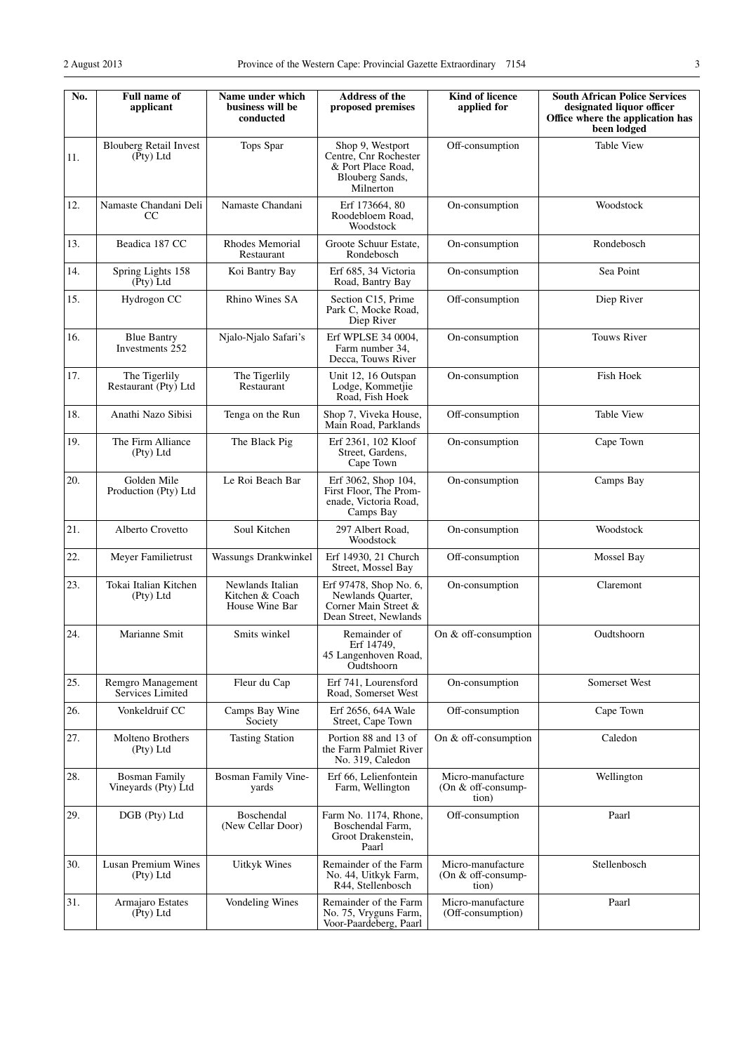| No. | <b>Full name of</b><br>applicant            | Name under which<br>business will be<br>conducted     | Address of the<br>proposed premises                                                             | Kind of licence<br>applied for                     | <b>South African Police Services</b><br>designated liquor officer<br>Office where the application has<br>been lodged |
|-----|---------------------------------------------|-------------------------------------------------------|-------------------------------------------------------------------------------------------------|----------------------------------------------------|----------------------------------------------------------------------------------------------------------------------|
| 11. | <b>Blouberg Retail Invest</b><br>(Pty) Ltd  | Tops Spar                                             | Shop 9, Westport<br>Centre, Cnr Rochester<br>& Port Place Road.<br>Blouberg Sands,<br>Milnerton | Off-consumption                                    | <b>Table View</b>                                                                                                    |
| 12. | Namaste Chandani Deli<br>CC                 | Namaste Chandani                                      | Erf 173664, 80<br>Roodebloem Road,<br>Woodstock                                                 | On-consumption                                     | Woodstock                                                                                                            |
| 13. | Beadica 187 CC                              | Rhodes Memorial<br>Restaurant                         | Groote Schuur Estate,<br>Rondebosch                                                             | On-consumption                                     | Rondebosch                                                                                                           |
| 14. | Spring Lights 158<br>$(\bar{P}ty)$ Ltd      | Koi Bantry Bay                                        | Erf 685, 34 Victoria<br>Road, Bantry Bay                                                        | On-consumption                                     | Sea Point                                                                                                            |
| 15. | Hydrogon CC                                 | Rhino Wines SA                                        | Section C15, Prime<br>Park C, Mocke Road,<br>Diep River                                         | Off-consumption                                    | Diep River                                                                                                           |
| 16. | <b>Blue Bantry</b><br>Investments 252       | Njalo-Njalo Safari's                                  | Erf WPLSE 34 0004,<br>Farm number 34,<br>Decca, Touws River                                     | On-consumption                                     | <b>Touws River</b>                                                                                                   |
| 17. | The Tigerlily<br>Restaurant (Pty) Ltd       | The Tigerlily<br>Restaurant                           | Unit 12, 16 Outspan<br>Lodge, Kommetjie<br>Road. Fish Hoek                                      | On-consumption                                     | Fish Hoek                                                                                                            |
| 18. | Anathi Nazo Sibisi                          | Tenga on the Run                                      | Shop 7, Viveka House,<br>Main Road, Parklands                                                   | Off-consumption                                    | <b>Table View</b>                                                                                                    |
| 19. | The Firm Alliance<br>(Pty) Ltd              | The Black Pig                                         | Erf 2361, 102 Kloof<br>Street, Gardens,<br>Cape Town                                            | On-consumption                                     | Cape Town                                                                                                            |
| 20. | Golden Mile<br>Production (Pty) Ltd         | Le Roi Beach Bar                                      | Erf 3062, Shop 104,<br>First Floor, The Prom-<br>enade, Victoria Road,<br>Camps Bay             | On-consumption                                     | Camps Bay                                                                                                            |
| 21. | Alberto Crovetto                            | Soul Kitchen                                          | 297 Albert Road,<br>Woodstock                                                                   | On-consumption                                     | Woodstock                                                                                                            |
| 22. | Meyer Familietrust                          | Wassungs Drankwinkel                                  | Erf 14930, 21 Church<br>Street, Mossel Bay                                                      | Off-consumption                                    | Mossel Bay                                                                                                           |
| 23. | Tokai Italian Kitchen<br>(Pty) Ltd          | Newlands Italian<br>Kitchen & Coach<br>House Wine Bar | Erf 97478, Shop No. 6,<br>Newlands Quarter,<br>Corner Main Street &<br>Dean Street, Newlands    | On-consumption                                     | Claremont                                                                                                            |
| 24. | Marianne Smit                               | Smits winkel                                          | Remainder of<br>Erf 14749,<br>45 Langenhoven Road,<br>Oudtshoorn                                | On & off-consumption                               | Oudtshoorn                                                                                                           |
| 25. | Remgro Management<br>Services Limited       | Fleur du Cap                                          | Erf 741, Lourensford<br>Road, Somerset West                                                     | On-consumption                                     | Somerset West                                                                                                        |
| 26. | Vonkeldruif CC                              | Camps Bay Wine<br>Society                             | Erf 2656, 64A Wale<br>Street, Cape Town                                                         | Off-consumption                                    | Cape Town                                                                                                            |
| 27. | Molteno Brothers<br>(Pty) Ltd               | <b>Tasting Station</b>                                | Portion 88 and 13 of<br>the Farm Palmiet River<br>No. 319, Caledon                              | On & off-consumption                               | Caledon                                                                                                              |
| 28. | <b>Bosman Family</b><br>Vineyards (Pty) Ltd | Bosman Family Vine-<br>yards                          | Erf 66, Lelienfontein<br>Farm, Wellington                                                       | Micro-manufacture<br>(On & off-consump-<br>tion)   | Wellington                                                                                                           |
| 29. | DGB (Pty) Ltd                               | Boschendal<br>(New Cellar Door)                       | Farm No. 1174, Rhone,<br>Boschendal Farm,<br>Groot Drakenstein,<br>Paarl                        | Off-consumption                                    | Paarl                                                                                                                |
| 30. | Lusan Premium Wines<br>(Pty) Ltd            | <b>Uitkyk Wines</b>                                   | Remainder of the Farm<br>No. 44, Uitkyk Farm,<br>R44, Stellenbosch                              | Micro-manufacture<br>(On $&$ off-consump-<br>tion) | Stellenbosch                                                                                                         |
| 31. | Armajaro Estates<br>(Pty) Ltd               | Vondeling Wines                                       | Remainder of the Farm<br>No. 75, Vryguns Farm,<br>Voor-Paardeberg, Paarl                        | Micro-manufacture<br>(Off-consumption)             | Paarl                                                                                                                |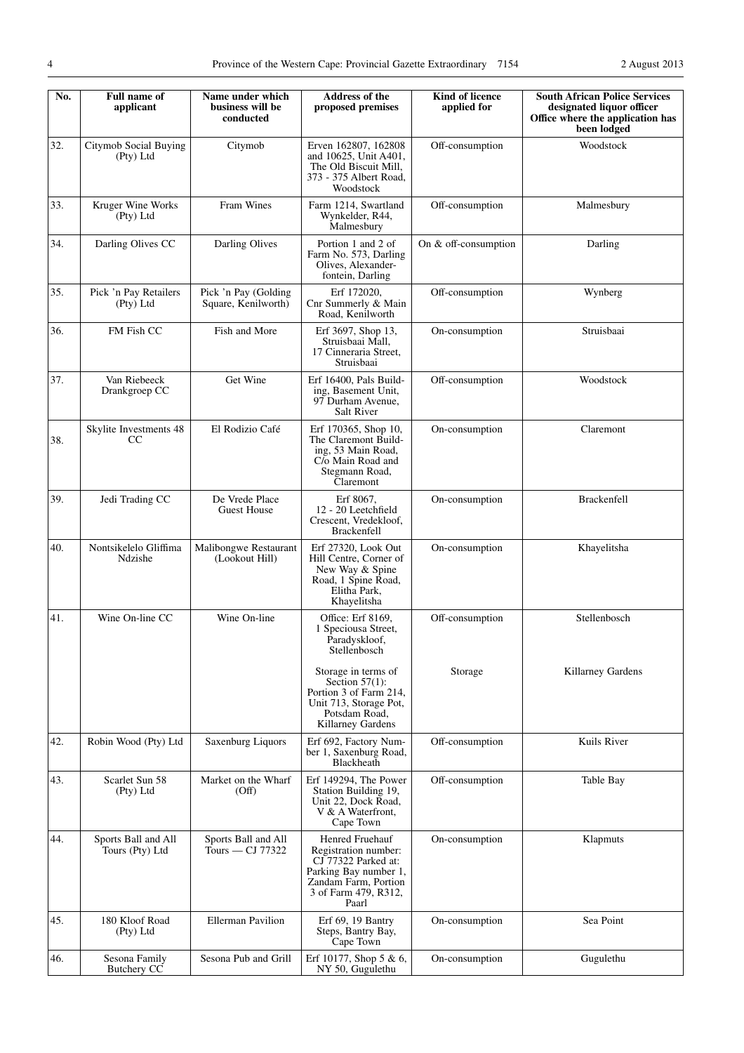| No. | <b>Full name of</b><br>applicant       | Name under which<br>business will be<br>conducted | <b>Address of the</b><br>proposed premises                                                                                                       | Kind of licence<br>applied for | <b>South African Police Services</b><br>designated liquor officer<br>Office where the application has<br>been lodged |
|-----|----------------------------------------|---------------------------------------------------|--------------------------------------------------------------------------------------------------------------------------------------------------|--------------------------------|----------------------------------------------------------------------------------------------------------------------|
| 32. | Citymob Social Buying<br>(Pty) Ltd     | Citymob                                           | Erven 162807, 162808<br>and 10625, Unit A401,<br>The Old Biscuit Mill,<br>373 - 375 Albert Road,<br>Woodstock                                    | Off-consumption                | Woodstock                                                                                                            |
| 33. | Kruger Wine Works<br>(Pty) Ltd         | Fram Wines                                        | Farm 1214, Swartland<br>Wynkelder, R44,<br>Malmesbury                                                                                            | Off-consumption                | Malmesbury                                                                                                           |
| 34. | Darling Olives CC                      | Darling Olives                                    | Portion 1 and 2 of<br>Farm No. 573, Darling<br>Olives, Alexander-<br>fontein, Darling                                                            | On & off-consumption           | Darling                                                                                                              |
| 35. | Pick 'n Pay Retailers<br>(Pty) Ltd     | Pick 'n Pay (Golding<br>Square, Kenilworth)       | Erf 172020,<br>Cnr Summerly & Main<br>Road, Kenilworth                                                                                           | Off-consumption                | Wynberg                                                                                                              |
| 36. | FM Fish CC                             | Fish and More                                     | Erf 3697, Shop 13,<br>Struisbaai Mall,<br>17 Cinneraria Street.<br>Struisbaai                                                                    | On-consumption                 | Struisbaai                                                                                                           |
| 37. | Van Riebeeck<br>Drankgroep CC          | Get Wine                                          | Erf 16400, Pals Build-<br>ing, Basement Unit,<br>97 Durham Avenue,<br><b>Salt River</b>                                                          | Off-consumption                | Woodstock                                                                                                            |
| 38. | Skylite Investments 48<br>CC           | El Rodizio Café                                   | Erf 170365, Shop 10,<br>The Claremont Build-<br>ing, 53 Main Road,<br>C/o Main Road and<br>Stegmann Road,<br>Claremont                           | On-consumption                 | Claremont                                                                                                            |
| 39. | Jedi Trading CC                        | De Vrede Place<br><b>Guest House</b>              | Erf 8067,<br>12 - 20 Leetchfield<br>Crescent, Vredekloof,<br>Brackenfell                                                                         | On-consumption                 | <b>Brackenfell</b>                                                                                                   |
| 40. | Nontsikelelo Gliffima<br>Ndzishe       | Malibongwe Restaurant<br>(Lookout Hill)           | Erf 27320, Look Out<br>Hill Centre, Corner of<br>New Way & Spine<br>Road, 1 Spine Road,<br>Elitha Park,<br>Khayelitsha                           | On-consumption                 | Khayelitsha                                                                                                          |
| 41. | Wine On-line CC                        | Wine On-line                                      | Office: Erf 8169,<br>1 Speciousa Street,<br>Paradyskloof,<br>Stellenbosch                                                                        | Off-consumption                | Stellenbosch                                                                                                         |
|     |                                        |                                                   | Storage in terms of<br>Section $57(1)$ :<br>Portion 3 of Farm 214,<br>Unit 713, Storage Pot,<br>Potsdam Road,<br>Killarney Gardens               | Storage                        | Killarney Gardens                                                                                                    |
| 42. | Robin Wood (Pty) Ltd                   | Saxenburg Liquors                                 | Erf 692, Factory Num-<br>ber 1, Saxenburg Road,<br>Blackheath                                                                                    | Off-consumption                | Kuils River                                                                                                          |
| 43. | Scarlet Sun 58<br>(Pty) Ltd            | Market on the Wharf<br>(Off)                      | Erf 149294, The Power<br>Station Building 19,<br>Unit 22, Dock Road,<br>V & A Waterfront,<br>Cape Town                                           | Off-consumption                | Table Bay                                                                                                            |
| 44. | Sports Ball and All<br>Tours (Pty) Ltd | Sports Ball and All<br>Tours — CJ 77322           | Henred Fruehauf<br>Registration number:<br>CJ 77322 Parked at:<br>Parking Bay number 1,<br>Zandam Farm, Portion<br>3 of Farm 479, R312,<br>Paarl | On-consumption                 | Klapmuts                                                                                                             |
| 45. | 180 Kloof Road<br>(Pty) Ltd            | <b>Ellerman Pavilion</b>                          | Erf 69, 19 Bantry<br>Steps, Bantry Bay,<br>Cape Town                                                                                             | On-consumption                 | Sea Point                                                                                                            |
| 46. | Sesona Family<br>Butchery CC           | Sesona Pub and Grill                              | Erf 10177, Shop 5 & 6,<br>NY 50, Gugulethu                                                                                                       | On-consumption                 | Gugulethu                                                                                                            |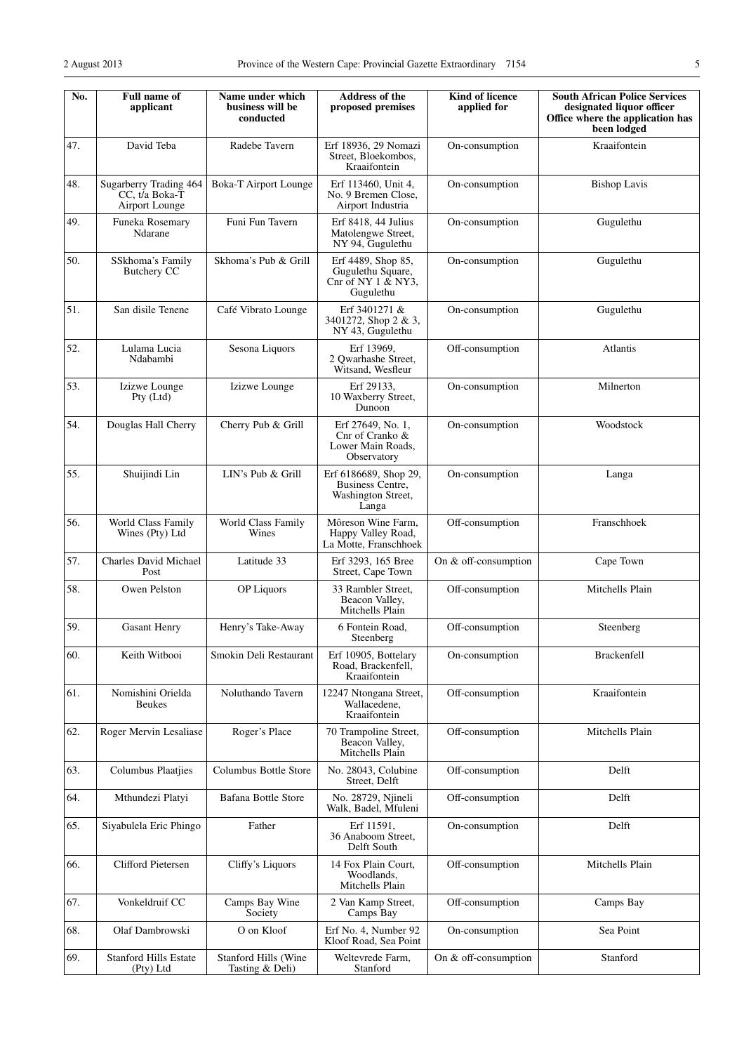**No. Full name of**

48. Sugarberry Trading 464 CC, t/a Boka-T

**applicant**

47. David Teba Radebe Tavern

**Name under which business will be conducted**

Boka-T Airport Lounge

| <b>Address of the</b><br>proposed premises                                      | <b>Kind of licence</b><br>applied for | <b>South African Police Services</b><br>designated liquor officer<br>Office where the application has<br>been lodged |
|---------------------------------------------------------------------------------|---------------------------------------|----------------------------------------------------------------------------------------------------------------------|
| Erf 18936, 29 Nomazi<br>Street, Bloekombos,<br>Kraaifontein                     | On-consumption                        | Kraaifontein                                                                                                         |
| Erf 113460, Unit 4,<br>No. 9 Bremen Close,<br>Airport Industria                 | On-consumption                        | <b>Bishop Lavis</b>                                                                                                  |
| Erf 8418, 44 Julius<br>On-consumption<br>Matolengwe Street,<br>NY 94, Gugulethu |                                       | Gugulethu                                                                                                            |
| Erf 4489, Shop 85,<br>Gugulethu Square,<br>Cnr of NY $1 \& NY3$ ,<br>Gugulethu  | On-consumption                        | Gugulethu                                                                                                            |
| Erf 3401271 &<br>3401272, Shop 2 & 3,<br>NY 43, Gugulethu                       | On-consumption                        | Gugulethu                                                                                                            |
| Erf 13969,<br>2 Qwarhashe Street,<br>Witsand. Wesfleur                          | Off-consumption                       | Atlantis                                                                                                             |
| Erf 29133,<br>10 Waxberry Street,<br>Dunoon                                     | On-consumption                        | Milnerton                                                                                                            |
| Erf 27649, No. 1,<br>Cnr of Cranko &<br>Lower Main Roads,<br>Observatory        | On-consumption                        | Woodstock                                                                                                            |
| Erf 6186689, Shop 29,<br><b>Business Centre,</b><br>Washington Street,<br>Langa | On-consumption                        | Langa                                                                                                                |
| Môreson Wine Farm,<br>Happy Valley Road,<br>La Motte, Franschhoek               | Off-consumption                       | Franschhoek                                                                                                          |
| Erf 3293, 165 Bree<br>Street, Cape Town                                         | On & off-consumption                  | Cape Town                                                                                                            |
| 33 Rambler Street.                                                              | Off-consumption                       | Mitchells Plain                                                                                                      |

|     | Airport Lounge                            |                                         | Airport Industria                                                              |                      |                    |
|-----|-------------------------------------------|-----------------------------------------|--------------------------------------------------------------------------------|----------------------|--------------------|
| 49. | Funeka Rosemary<br>Ndarane                | Funi Fun Tavern                         | Erf 8418, 44 Julius<br>Matolengwe Street,<br>NY 94, Gugulethu                  | On-consumption       | Gugulethu          |
| 50. | SSkhoma's Family<br><b>Butchery CC</b>    | Skhoma's Pub & Grill                    | Erf 4489, Shop 85,<br>Gugulethu Square,<br>Cnr of NY $1 \& NY3$ ,<br>Gugulethu | On-consumption       | Gugulethu          |
| 51. | San disile Tenene                         | Café Vibrato Lounge                     | Erf 3401271 &<br>3401272, Shop 2 & 3,<br>NY 43, Gugulethu                      | On-consumption       | Gugulethu          |
| 52. | Lulama Lucia<br>Ndabambi                  | Sesona Liquors                          | Erf 13969,<br>2 Qwarhashe Street,<br>Witsand, Wesfleur                         | Off-consumption      | Atlantis           |
| 53. | Izizwe Lounge<br>Pty (Ltd)                | Izizwe Lounge                           | Erf 29133,<br>10 Waxberry Street,<br>Dunoon                                    | On-consumption       | Milnerton          |
| 54. | Douglas Hall Cherry                       | Cherry Pub & Grill                      | Erf 27649, No. 1,<br>Cnr of Cranko &<br>Lower Main Roads,<br>Observatory       | On-consumption       | Woodstock          |
| 55. | Shuijindi Lin                             | LIN's Pub & Grill                       | Erf 6186689, Shop 29,<br>Business Centre,<br>Washington Street,<br>Langa       | On-consumption       | Langa              |
| 56. | World Class Family<br>Wines (Pty) Ltd     | World Class Family<br>Wines             | Môreson Wine Farm,<br>Happy Valley Road,<br>La Motte, Franschhoek              | Off-consumption      | Franschhoek        |
| 57. | Charles David Michael<br>Post             | Latitude 33                             | Erf 3293, 165 Bree<br>Street, Cape Town                                        | On & off-consumption | Cape Town          |
| 58. | Owen Pelston                              | OP Liquors                              | 33 Rambler Street,<br>Beacon Valley,<br>Mitchells Plain                        | Off-consumption      | Mitchells Plain    |
| 59. | <b>Gasant Henry</b>                       | Henry's Take-Away                       | 6 Fontein Road,<br>Steenberg                                                   | Off-consumption      | Steenberg          |
| 60. | Keith Witbooi                             | Smokin Deli Restaurant                  | Erf 10905, Bottelary<br>Road, Brackenfell,<br>Kraaifontein                     | On-consumption       | <b>Brackenfell</b> |
| 61. | Nomishini Orielda<br><b>Beukes</b>        | Noluthando Tavern                       | 12247 Ntongana Street,<br>Wallacedene,<br>Kraaifontein                         | Off-consumption      | Kraaifontein       |
| 62. | Roger Mervin Lesaliase                    | Roger's Place                           | 70 Trampoline Street,<br>Beacon Valley,<br>Mitchells Plain                     | Off-consumption      | Mitchells Plain    |
| 63. | <b>Columbus Plaatjies</b>                 | Columbus Bottle Store                   | No. 28043, Colubine<br>Street, Delft                                           | Off-consumption      | Delft              |
| 64. | Mthundezi Platyi                          | Bafana Bottle Store                     | No. 28729, Njineli<br>Walk, Badel, Mfuleni                                     | Off-consumption      | Delft              |
| 65. | Siyabulela Eric Phingo                    | Father                                  | Erf 11591,<br>36 Anaboom Street,<br>Delft South                                | On-consumption       | Delft              |
| 66. | Clifford Pietersen                        | Cliffy's Liquors                        | 14 Fox Plain Court,<br>Woodlands,<br>Mitchells Plain                           | Off-consumption      | Mitchells Plain    |
| 67. | Vonkeldruif CC                            | Camps Bay Wine<br>Society               | 2 Van Kamp Street,<br>Camps Bay                                                | Off-consumption      | Camps Bay          |
| 68. | Olaf Dambrowski                           | O on Kloof                              | Erf No. 4, Number 92<br>Kloof Road, Sea Point                                  | On-consumption       | Sea Point          |
| 69. | <b>Stanford Hills Estate</b><br>(Pty) Ltd | Stanford Hills (Wine<br>Tasting & Deli) | Weltevrede Farm,<br>Stanford                                                   | On & off-consumption | Stanford           |
|     |                                           |                                         |                                                                                |                      |                    |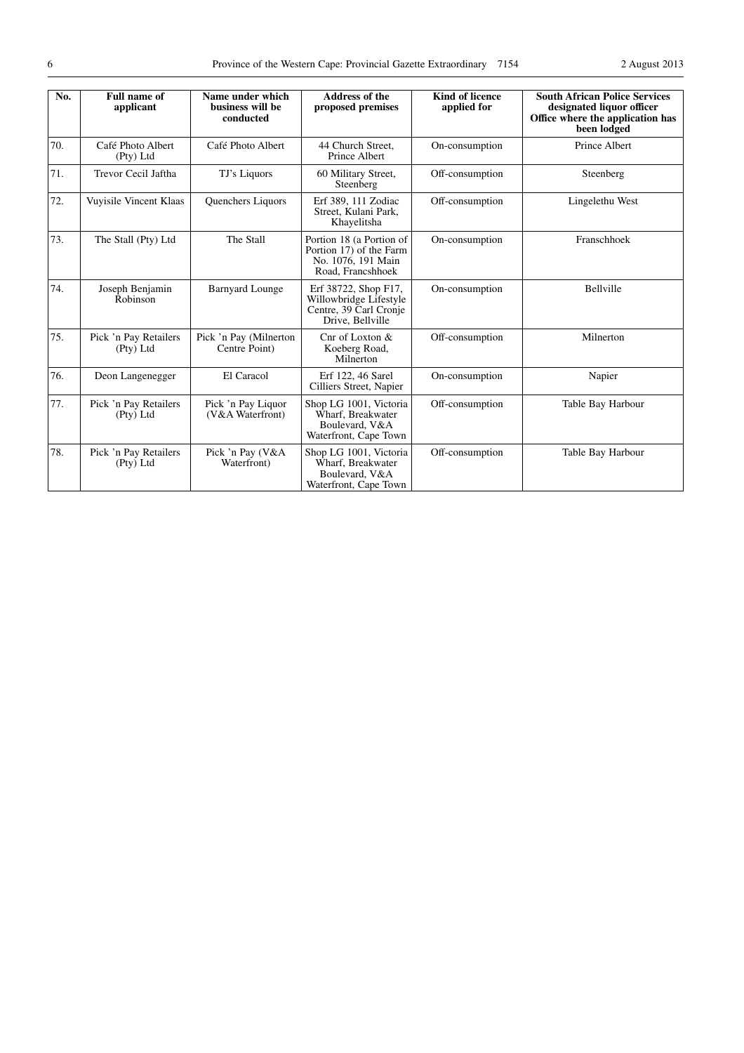| No. | <b>Full name of</b><br>applicant   | Name under which<br>business will be<br>conducted | <b>Address of the</b><br>proposed premises                                                     | <b>Kind of licence</b><br>applied for | <b>South African Police Services</b><br>designated liquor officer<br>Office where the application has<br>been lodged |
|-----|------------------------------------|---------------------------------------------------|------------------------------------------------------------------------------------------------|---------------------------------------|----------------------------------------------------------------------------------------------------------------------|
| 70. | Café Photo Albert<br>(Pty) Ltd     | Café Photo Albert                                 | 44 Church Street.<br>Prince Albert                                                             | On-consumption                        | Prince Albert                                                                                                        |
| 71. | Trevor Cecil Jaftha                | TJ's Liquors                                      | 60 Military Street,<br>Steenberg                                                               | Off-consumption                       | Steenberg                                                                                                            |
| 72. | Vuyisile Vincent Klaas             | <b>Ouenchers Liquors</b>                          | Erf 389, 111 Zodiac<br>Street, Kulani Park.<br>Khayelitsha                                     | Off-consumption                       | Lingelethu West                                                                                                      |
| 73. | The Stall (Pty) Ltd                | The Stall                                         | Portion 18 (a Portion of<br>Portion 17) of the Farm<br>No. 1076, 191 Main<br>Road. Francshhoek | On-consumption                        | Franschhoek                                                                                                          |
| 74. | Joseph Benjamin<br>Robinson        | <b>Barnyard Lounge</b>                            | Erf 38722, Shop F17,<br>Willowbridge Lifestyle<br>Centre, 39 Carl Cronje<br>Drive, Bellville   | On-consumption                        | Bellville                                                                                                            |
| 75. | Pick 'n Pay Retailers<br>(Pty) Ltd | Pick 'n Pay (Milnerton<br>Centre Point)           | Cnr of Loxton &<br>Koeberg Road,<br>Milnerton                                                  | Off-consumption                       | Milnerton                                                                                                            |
| 76. | Deon Langenegger                   | El Caracol                                        | Erf 122, 46 Sarel<br>Cilliers Street, Napier                                                   | On-consumption                        | Napier                                                                                                               |
| 77. | Pick 'n Pay Retailers<br>(Pty) Ltd | Pick 'n Pay Liquor<br>(V&A Waterfront)            | Shop LG 1001, Victoria<br>Wharf, Breakwater<br>Boulevard, V&A<br>Waterfront, Cape Town         | Off-consumption                       | Table Bay Harbour                                                                                                    |
| 78. | Pick 'n Pay Retailers<br>(Pty) Ltd | Pick 'n Pay (V&A<br>Waterfront)                   | Shop LG 1001, Victoria<br>Wharf, Breakwater<br>Boulevard, V&A<br>Waterfront, Cape Town         | Off-consumption                       | Table Bay Harbour                                                                                                    |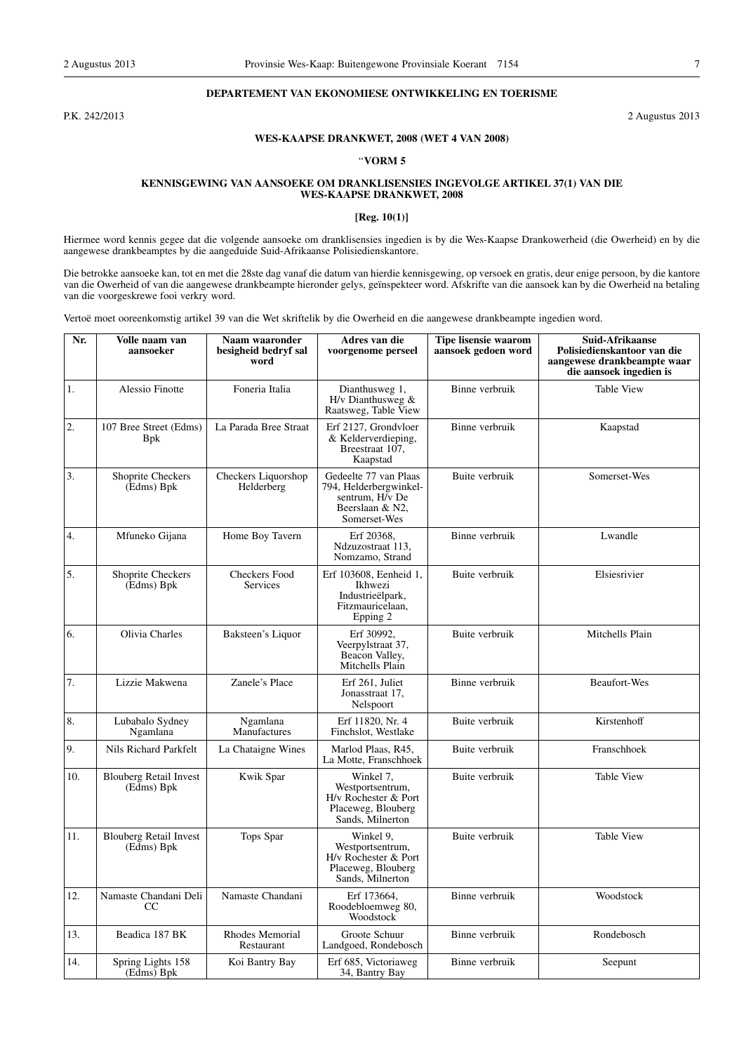## **DEPARTEMENT VAN EKONOMIESE ONTWIKKELING EN TOERISME**

P.K. 242/2013 2 Augustus 2013

# **WES-KAAPSE DRANKWET, 2008 (WET 4 VAN 2008)**

#### ''**VORM 5**

#### **KENNISGEWING VAN AANSOEKE OM DRANKLISENSIES INGEVOLGE ARTIKEL 37(1) VAN DIE WES-KAAPSE DRANKWET, 2008**

# **[Reg. 10(1)]**

Hiermee word kennis gegee dat die volgende aansoeke om dranklisensies ingedien is by die Wes-Kaapse Drankowerheid (die Owerheid) en by die aangewese drankbeamptes by die aangeduide Suid-Afrikaanse Polisiedienskantore.

Die betrokke aansoeke kan, tot en met die 28ste dag vanaf die datum van hierdie kennisgewing, op versoek en gratis, deur enige persoon, by die kantore van die Owerheid of van die aangewese drankbeampte hieronder gelys, geïnspekteer word. Afskrifte van die aansoek kan by die Owerheid na betaling van die voorgeskrewe fooi verkry word.

Vertoë moet ooreenkomstig artikel 39 van die Wet skriftelik by die Owerheid en die aangewese drankbeampte ingedien word.

| Nr. | Volle naam van<br>aansoeker                       | Naam waaronder<br>besigheid bedryf sal<br>word | Adres van die<br>voorgenome perseel                                                                   | Tipe lisensie waarom<br>aansoek gedoen word | Suid-Afrikaanse<br>Polisiedienskantoor van die<br>aangewese drankbeampte waar<br>die aansoek ingedien is |
|-----|---------------------------------------------------|------------------------------------------------|-------------------------------------------------------------------------------------------------------|---------------------------------------------|----------------------------------------------------------------------------------------------------------|
| 1.  | <b>Alessio Finotte</b>                            | Foneria Italia                                 | Dianthusweg 1,<br>H/v Dianthusweg $&$<br>Raatsweg, Table View                                         | Binne verbruik                              | <b>Table View</b>                                                                                        |
| 2.  | 107 Bree Street (Edms)<br><b>B</b> <sub>p</sub> k | La Parada Bree Straat                          | Erf 2127, Grondvloer<br>& Kelderverdieping,<br>Breestraat 107,<br>Kaapstad                            | Binne verbruik                              | Kaapstad                                                                                                 |
| 3.  | Shoprite Checkers<br>(Edms) Bpk                   | Checkers Liquorshop<br>Helderberg              | Gedeelte 77 van Plaas<br>794, Helderbergwinkel-<br>sentrum, H/v De<br>Beerslaan & N2,<br>Somerset-Wes | Buite verbruik                              | Somerset-Wes                                                                                             |
| 4.  | Mfuneko Gijana                                    | Home Boy Tavern                                | Erf 20368,<br>Ndzuzostraat 113,<br>Nomzamo, Strand                                                    | Binne verbruik                              | Lwandle                                                                                                  |
| 5.  | Shoprite Checkers<br>(Edms) Bpk                   | <b>Checkers Food</b><br>Services               | Erf 103608, Eenheid 1,<br>Ikhwezi<br>Industrieëlpark,<br>Fitzmauricelaan,<br>Epping 2                 | Buite verbruik                              | Elsiesrivier                                                                                             |
| 6.  | Olivia Charles                                    | Baksteen's Liquor                              | Erf 30992,<br>Veerpylstraat 37,<br>Beacon Valley,<br>Mitchells Plain                                  | Buite verbruik                              | Mitchells Plain                                                                                          |
| 7.  | Lizzie Makwena                                    | Zanele's Place                                 | Erf 261, Juliet<br>Jonasstraat 17,<br>Nelspoort                                                       | Binne verbruik                              | Beaufort-Wes                                                                                             |
| 8.  | Lubabalo Sydney<br>Ngamlana                       | Ngamlana<br>Manufactures                       | Erf 11820, Nr. 4<br>Finchslot, Westlake                                                               | Buite verbruik                              | Kirstenhoff                                                                                              |
| 9.  | Nils Richard Parkfelt                             | La Chataigne Wines                             | Marlod Plaas, R45,<br>La Motte, Franschhoek                                                           | Buite verbruik                              | Franschhoek                                                                                              |
| 10. | <b>Blouberg Retail Invest</b><br>(Edms) Bpk       | Kwik Spar                                      | Winkel 7,<br>Westportsentrum,<br>H/v Rochester & Port<br>Placeweg, Blouberg<br>Sands, Milnerton       | Buite verbruik                              | <b>Table View</b>                                                                                        |
| 11. | <b>Blouberg Retail Invest</b><br>(Edms) Bpk       | Tops Spar                                      | Winkel 9,<br>Westportsentrum,<br>H/v Rochester & Port<br>Placeweg, Blouberg<br>Sands, Milnerton       | Buite verbruik                              | <b>Table View</b>                                                                                        |
| 12. | Namaste Chandani Deli<br>CC.                      | Namaste Chandani                               | Erf 173664,<br>Roodebloemweg 80,<br>Woodstock                                                         | Binne verbruik                              | Woodstock                                                                                                |
| 13. | Beadica 187 BK                                    | Rhodes Memorial<br>Restaurant                  | Groote Schuur<br>Landgoed, Rondebosch                                                                 | Binne verbruik                              | Rondebosch                                                                                               |
| 14. | Spring Lights 158<br>(Edms) Bpk                   | Koi Bantry Bay                                 | Erf 685, Victoriaweg<br>34, Bantry Bay                                                                | Binne verbruik                              | Seepunt                                                                                                  |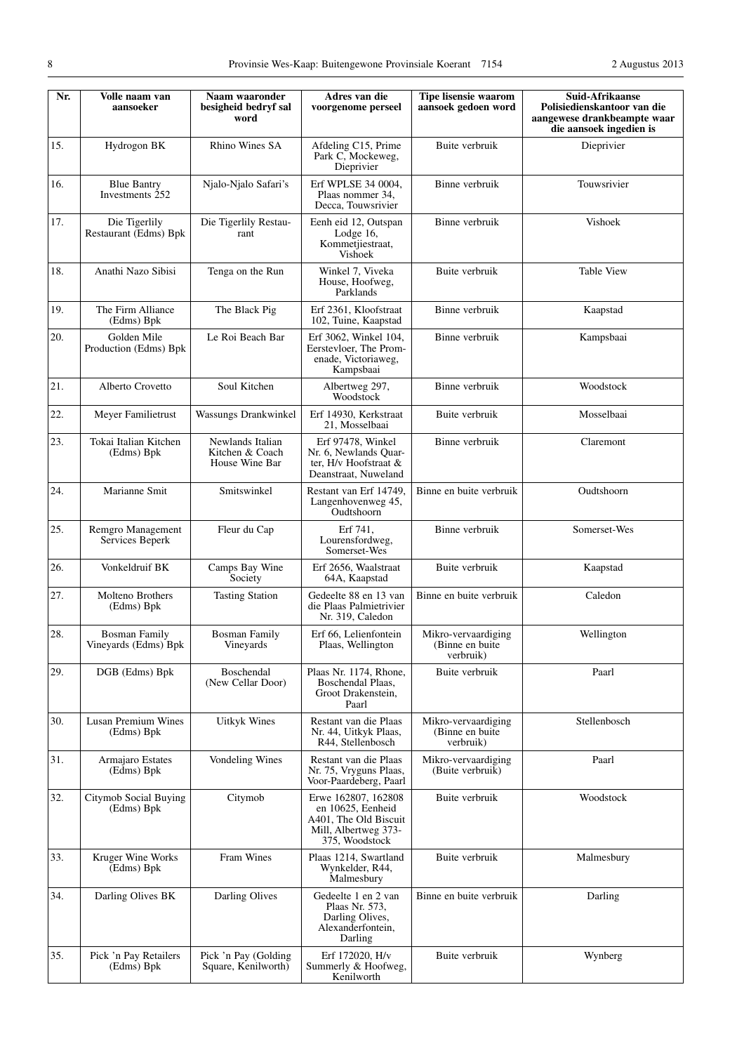| Nr. | Volle naam van<br>aansoeker                  | Naam waaronder<br>besigheid bedryf sal<br>word        | Adres van die<br>voorgenome perseel                                                                         | <b>Tipe lisensie waarom</b><br>aansoek gedoen word   | Suid-Afrikaanse<br>Polisiedienskantoor van die<br>aangewese drankbeampte waar<br>die aansoek ingedien is |
|-----|----------------------------------------------|-------------------------------------------------------|-------------------------------------------------------------------------------------------------------------|------------------------------------------------------|----------------------------------------------------------------------------------------------------------|
| 15. | Hydrogon BK                                  | Rhino Wines SA                                        | Afdeling C15, Prime<br>Park C, Mockeweg,<br>Dieprivier                                                      | Buite verbruik                                       | Dieprivier                                                                                               |
| 16. | <b>Blue Bantry</b><br>Investments 252        | Njalo-Njalo Safari's                                  | Erf WPLSE 34 0004,<br>Plaas nommer 34,<br>Decca, Touwsrivier                                                | Binne verbruik                                       | Touwsrivier                                                                                              |
| 17. | Die Tigerlily<br>Restaurant (Edms) Bpk       | Die Tigerlily Restau-<br>rant                         | Eenh eid 12, Outspan<br>Lodge $16$ ,<br>Kommetjiestraat,<br>Vishoek                                         | Binne verbruik                                       | Vishoek                                                                                                  |
| 18. | Anathi Nazo Sibisi                           | Tenga on the Run                                      | Winkel 7, Viveka<br>House, Hoofweg,<br>Parklands                                                            | Buite verbruik                                       | <b>Table View</b>                                                                                        |
| 19. | The Firm Alliance<br>(Edms) Bpk              | The Black Pig                                         | Erf 2361, Kloofstraat<br>102, Tuine, Kaapstad                                                               | Binne verbruik                                       | Kaapstad                                                                                                 |
| 20. | Golden Mile<br>Production (Edms) Bpk         | Le Roi Beach Bar                                      | Erf 3062, Winkel 104,<br>Eerstevloer, The Prom-<br>enade, Victoriaweg,<br>Kampsbaai                         | Binne verbruik                                       | Kampsbaai                                                                                                |
| 21. | Alberto Crovetto                             | Soul Kitchen                                          | Albertweg 297,<br>Woodstock                                                                                 | Binne verbruik                                       | Woodstock                                                                                                |
| 22. | Meyer Familietrust                           | Wassungs Drankwinkel                                  | Erf 14930, Kerkstraat<br>21, Mosselbaai                                                                     | Buite verbruik                                       | Mosselbaai                                                                                               |
| 23. | Tokai Italian Kitchen<br>(Edms) Bpk          | Newlands Italian<br>Kitchen & Coach<br>House Wine Bar | Erf 97478, Winkel<br>Nr. 6, Newlands Quar-<br>ter, $H/v$ Hoofstraat $&$<br>Deanstraat, Nuweland             | Binne verbruik                                       | Claremont                                                                                                |
| 24. | Marianne Smit                                | Smitswinkel                                           | Restant van Erf 14749,<br>Langenhovenweg 45,<br>Oudtshoorn                                                  | Binne en buite verbruik                              | Oudtshoorn                                                                                               |
| 25. | Remgro Management<br>Services Beperk         | Fleur du Cap                                          | Erf 741,<br>Lourensfordweg,<br>Somerset-Wes                                                                 | Binne verbruik                                       | Somerset-Wes                                                                                             |
| 26. | Vonkeldruif BK                               | Camps Bay Wine<br>Society                             | Erf 2656, Waalstraat<br>64A, Kaapstad                                                                       | Buite verbruik                                       | Kaapstad                                                                                                 |
| 27. | Molteno Brothers<br>(Edms) Bpk               | <b>Tasting Station</b>                                | Gedeelte 88 en 13 van<br>die Plaas Palmietrivier<br>Nr. 319, Caledon                                        | Binne en buite verbruik                              | Caledon                                                                                                  |
| 28. | <b>Bosman Family</b><br>Vineyards (Edms) Bpk | <b>Bosman Family</b><br>Vineyards                     | Erf 66, Lelienfontein<br>Plaas, Wellington                                                                  | Mikro-vervaardiging<br>(Binne en buite<br>verbruik)  | Wellington                                                                                               |
| 29. | DGB (Edms) Bpk                               | Boschendal<br>(New Cellar Door)                       | Plaas Nr. 1174, Rhone,<br>Boschendal Plaas,<br>Groot Drakenstein,<br>Paarl                                  | Buite verbruik                                       | Paarl                                                                                                    |
| 30. | Lusan Premium Wines<br>(Edms) Bpk            | <b>Uitkyk Wines</b>                                   | Restant van die Plaas<br>Nr. 44, Uitkyk Plaas,<br>R44, Stellenbosch                                         | Mikro-vervaardiging<br>(Binne en buite)<br>verbruik) | Stellenbosch                                                                                             |
| 31. | Armajaro Estates<br>(Edms) Bpk               | Vondeling Wines                                       | Restant van die Plaas<br>Nr. 75, Vryguns Plaas,<br>Voor-Paardeberg, Paarl                                   | Mikro-vervaardiging<br>(Buite verbruik)              | Paarl                                                                                                    |
| 32. | Citymob Social Buying<br>(Edms) Bpk          | Citymob                                               | Erwe 162807, 162808<br>en 10625, Eenheid<br>A401, The Old Biscuit<br>Mill, Albertweg 373-<br>375, Woodstock | Buite verbruik                                       | Woodstock                                                                                                |
| 33. | Kruger Wine Works<br>(Edms) Bpk              | Fram Wines                                            | Plaas 1214, Swartland<br>Wynkelder, R44,<br>Malmesbury                                                      | Buite verbruik                                       | Malmesbury                                                                                               |
| 34. | Darling Olives BK                            | Darling Olives                                        | Gedeelte 1 en 2 van<br>Plaas Nr. 573,<br>Darling Olives,<br>Alexanderfontein,<br>Darling                    | Binne en buite verbruik                              | Darling                                                                                                  |
| 35. | Pick 'n Pay Retailers<br>(Edms) Bpk          | Pick 'n Pay (Golding<br>Square, Kenilworth)           | Erf 172020, H/v<br>Summerly & Hoofweg,<br>Kenilworth                                                        | Buite verbruik                                       | Wynberg                                                                                                  |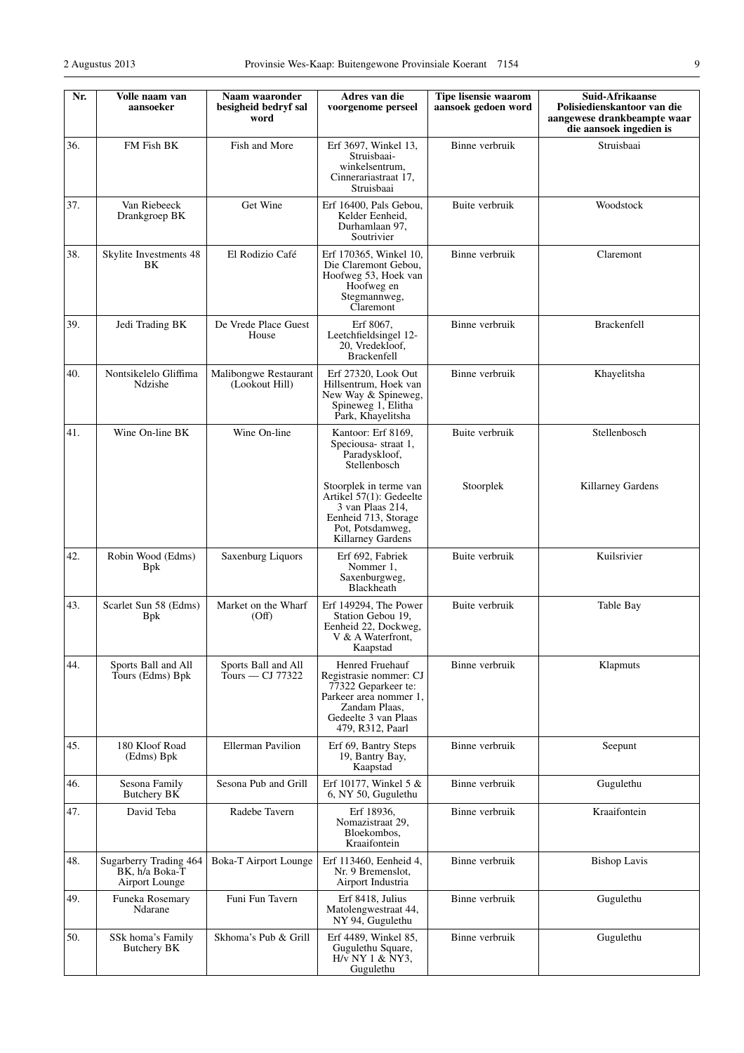| ۰.                     |
|------------------------|
| ٠                      |
| I<br>ł<br>ł<br>۰.<br>٧ |

| Nr. | Volle naam van<br>aansoeker                                | Naam waaronder<br>besigheid bedryf sal<br>word | Adres van die<br>voorgenome perseel                                                                                                                     | Tipe lisensie waarom<br>aansoek gedoen word | Suid-Afrikaanse<br>Polisiedienskantoor van die<br>aangewese drankbeampte waar<br>die aansoek ingedien is |
|-----|------------------------------------------------------------|------------------------------------------------|---------------------------------------------------------------------------------------------------------------------------------------------------------|---------------------------------------------|----------------------------------------------------------------------------------------------------------|
| 36. | FM Fish BK                                                 | Fish and More                                  | Erf 3697, Winkel 13,<br>Struisbaai-<br>winkelsentrum,<br>Cinnerariastraat 17,<br>Struisbaai                                                             | Binne verbruik                              | Struisbaai                                                                                               |
| 37. | Van Riebeeck<br>Drankgroep BK                              | Get Wine                                       | Erf 16400, Pals Gebou,<br>Kelder Eenheid,<br>Durhamlaan 97,<br>Soutrivier                                                                               | Buite verbruik                              | Woodstock                                                                                                |
| 38. | Skylite Investments 48<br>BK                               | El Rodizio Café                                | Erf 170365, Winkel 10,<br>Die Claremont Gebou,<br>Hoofweg 53, Hoek van<br>Hoofweg en<br>Stegmannweg,<br>Claremont                                       | Binne verbruik                              | Claremont                                                                                                |
| 39. | Jedi Trading BK                                            | De Vrede Place Guest<br>House                  | Erf 8067,<br>Leetchfieldsingel 12-<br>20, Vredekloof,<br><b>Brackenfell</b>                                                                             | Binne verbruik                              | <b>Brackenfell</b>                                                                                       |
| 40. | Nontsikelelo Gliffima<br>Ndzishe                           | Malibongwe Restaurant<br>(Lookout Hill)        | Erf 27320, Look Out<br>Hillsentrum, Hoek van<br>New Way & Spineweg,<br>Spineweg 1, Elitha<br>Park, Khayelitsha                                          | Binne verbruik                              | Khayelitsha                                                                                              |
| 41. | Wine On-line BK                                            | Wine On-line                                   | Kantoor: Erf 8169,<br>Speciousa-straat 1,<br>Paradyskloof,<br>Stellenbosch                                                                              | Buite verbruik                              | Stellenbosch                                                                                             |
|     |                                                            |                                                | Stoorplek in terme van<br>Artikel 57(1): Gedeelte<br>3 van Plaas 214,<br>Eenheid 713, Storage<br>Pot, Potsdamweg,<br>Killarney Gardens                  | Stoorplek                                   | Killarney Gardens                                                                                        |
| 42. | Robin Wood (Edms)<br><b>B</b> pk                           | Saxenburg Liquors                              | Erf 692, Fabriek<br>Nommer 1,<br>Saxenburgweg,<br>Blackheath                                                                                            | Buite verbruik                              | Kuilsrivier                                                                                              |
| 43. | Scarlet Sun 58 (Edms)<br><b>B</b> <sub>p</sub>             | Market on the Wharf<br>(Off)                   | Erf 149294, The Power<br>Station Gebou 19,<br>Eenheid 22, Dockweg,<br>V & A Waterfront,<br>Kaapstad                                                     | Buite verbruik                              | Table Bay                                                                                                |
| 44. | Sports Ball and All<br>Tours (Edms) Bpk                    | Sports Ball and All<br>Tours — CJ 77322        | Henred Fruehauf<br>Registrasie nommer: CJ<br>77322 Geparkeer te:<br>Parkeer area nommer 1.<br>Zandam Plaas.<br>Gedeelte 3 van Plaas<br>479, R312, Paarl | Binne verbruik                              | Klapmuts                                                                                                 |
| 45. | 180 Kloof Road<br>(Edms) Bpk                               | <b>Ellerman Pavilion</b>                       | Erf 69, Bantry Steps<br>19, Bantry Bay,<br>Kaapstad                                                                                                     | Binne verbruik                              | Seepunt                                                                                                  |
| 46. | Sesona Family<br>Butchery BK                               | Sesona Pub and Grill                           | Erf 10177, Winkel 5 &<br>6, NY 50, Gugulethu                                                                                                            | Binne verbruik                              | Gugulethu                                                                                                |
| 47. | David Teba                                                 | Radebe Tavern                                  | Erf 18936,<br>Nomazistraat 29,<br>Bloekombos,<br>Kraaifontein                                                                                           | Binne verbruik                              | Kraaifontein                                                                                             |
| 48. | Sugarberry Trading 464<br>BK, h/a Boka-T<br>Airport Lounge | <b>Boka-T Airport Lounge</b>                   | Erf 113460, Eenheid 4,<br>Nr. 9 Bremenslot,<br>Airport Industria                                                                                        | Binne verbruik                              | <b>Bishop Lavis</b>                                                                                      |
| 49. | Funeka Rosemary<br>Ndarane                                 | Funi Fun Tavern                                | Erf 8418, Julius<br>Matolengwestraat 44,<br>NY 94, Gugulethu                                                                                            | Binne verbruik                              | Gugulethu                                                                                                |
| 50. | SSk homa's Family<br><b>Butchery BK</b>                    | Skhoma's Pub & Grill                           | Erf 4489, Winkel 85,<br>Gugulethu Square,<br>$H/v$ NY 1 & NY3,<br>Gugulethu                                                                             | Binne verbruik                              | Gugulethu                                                                                                |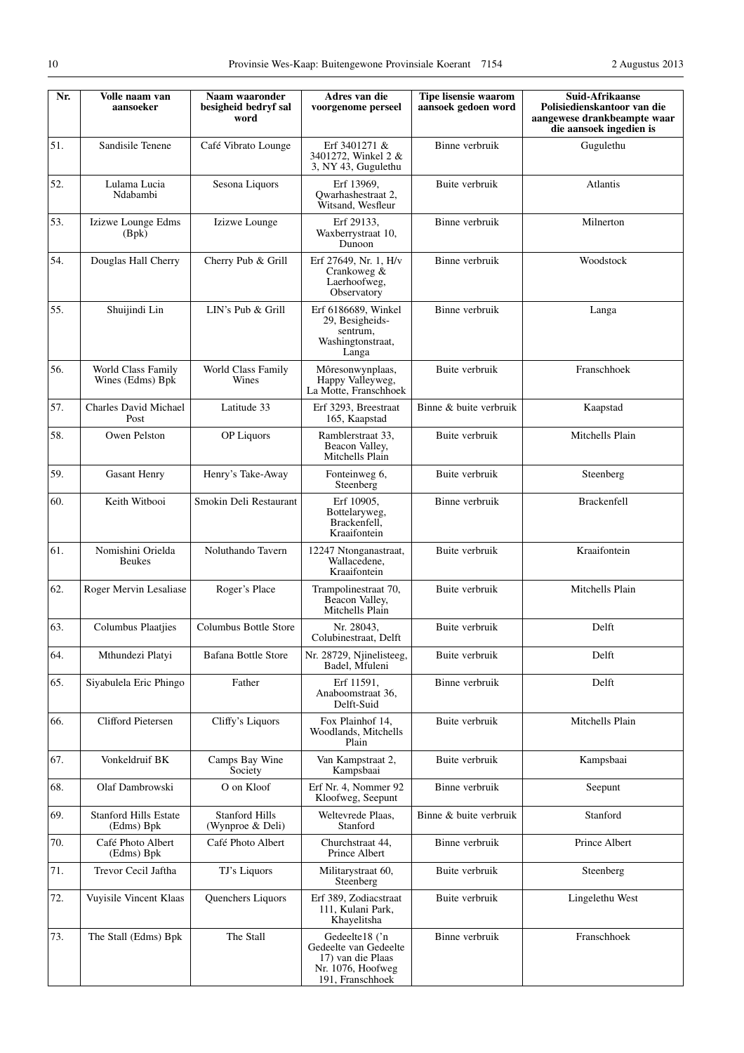| Nr. | Volle naam van<br>aansoeker                | Naam waaronder<br>besigheid bedryf sal<br>word | Adres van die<br>voorgenome perseel                                                                   | <b>Tipe lisensie waarom</b><br>aansoek gedoen word | Suid-Afrikaanse<br>Polisiedienskantoor van die<br>aangewese drankbeampte waar<br>die aansoek ingedien is |
|-----|--------------------------------------------|------------------------------------------------|-------------------------------------------------------------------------------------------------------|----------------------------------------------------|----------------------------------------------------------------------------------------------------------|
| 51. | Sandisile Tenene                           | Café Vibrato Lounge                            | Erf 3401271 &<br>3401272, Winkel 2 &<br>3, NY 43, Gugulethu                                           | Binne verbruik                                     | Gugulethu                                                                                                |
| 52. | Lulama Lucia<br>Ndabambi                   | Sesona Liquors                                 | Erf 13969,<br>Owarhashestraat 2,<br>Witsand, Wesfleur                                                 | Buite verbruik                                     | Atlantis                                                                                                 |
| 53. | Izizwe Lounge Edms<br>(Bpk)                | Izizwe Lounge                                  | Erf 29133,<br>Waxberrystraat 10,<br>Dunoon                                                            | Binne verbruik                                     | Milnerton                                                                                                |
| 54. | Douglas Hall Cherry                        | Cherry Pub & Grill                             | Erf 27649, Nr. 1, H/v<br>Crankoweg &<br>Laerhoofweg,<br>Observatory                                   | Binne verbruik                                     | Woodstock                                                                                                |
| 55. | Shuijindi Lin                              | LIN's Pub & Grill                              | Erf 6186689, Winkel<br>29, Besigheids-<br>sentrum.<br>Washingtonstraat,<br>Langa                      | Binne verbruik                                     | Langa                                                                                                    |
| 56. | World Class Family<br>Wines (Edms) Bpk     | World Class Family<br>Wines                    | Môresonwynplaas,<br>Happy Valleyweg,<br>La Motte, Franschhoek                                         | Buite verbruik                                     | Franschhoek                                                                                              |
| 57. | Charles David Michael<br>Post              | Latitude 33                                    | Erf 3293, Breestraat<br>165, Kaapstad                                                                 | Binne & buite verbruik                             | Kaapstad                                                                                                 |
| 58. | Owen Pelston                               | <b>OP</b> Liquors                              | Ramblerstraat 33,<br>Beacon Valley,<br>Mitchells Plain                                                | Buite verbruik                                     | Mitchells Plain                                                                                          |
| 59. | <b>Gasant Henry</b>                        | Henry's Take-Away                              | Fonteinweg 6,<br>Steenberg                                                                            | Buite verbruik                                     | Steenberg                                                                                                |
| 60. | Keith Witbooi                              | Smokin Deli Restaurant                         | Erf 10905,<br>Bottelaryweg,<br>Brackenfell,<br>Kraaifontein                                           | Binne verbruik                                     | <b>Brackenfell</b>                                                                                       |
| 61. | Nomishini Orielda<br><b>Beukes</b>         | Noluthando Tavern                              | 12247 Ntonganastraat,<br>Wallacedene,<br>Kraaifontein                                                 | Buite verbruik                                     | Kraaifontein                                                                                             |
| 62. | Roger Mervin Lesaliase                     | Roger's Place                                  | Trampolinestraat 70,<br>Beacon Valley,<br>Mitchells Plain                                             | Buite verbruik                                     | Mitchells Plain                                                                                          |
| 63. | Columbus Plaatjies                         | Columbus Bottle Store                          | Nr. 28043,<br>Colubinestraat, Delft                                                                   | Buite verbruik                                     | Delft                                                                                                    |
| 64. | Mthundezi Platyi                           | <b>Bafana Bottle Store</b>                     | Nr. 28729, Niinelisteeg,<br>Badel, Mfuleni                                                            | Buite verbruik                                     | Delft                                                                                                    |
| 65. | Siyabulela Eric Phingo                     | Father                                         | Erf 11591,<br>Anaboomstraat 36,<br>Delft-Suid                                                         | Binne verbruik                                     | Delft                                                                                                    |
| 66. | Clifford Pietersen                         | Cliffy's Liquors                               | Fox Plainhof 14,<br>Woodlands, Mitchells<br>Plain                                                     | Buite verbruik                                     | Mitchells Plain                                                                                          |
| 67. | Vonkeldruif BK                             | Camps Bay Wine<br>Society                      | Van Kampstraat 2,<br>Kampsbaai                                                                        | Buite verbruik                                     | Kampsbaai                                                                                                |
| 68. | Olaf Dambrowski                            | O on Kloof                                     | Erf Nr. 4, Nommer 92<br>Kloofweg, Seepunt                                                             | Binne verbruik                                     | Seepunt                                                                                                  |
| 69. | <b>Stanford Hills Estate</b><br>(Edms) Bpk | <b>Stanford Hills</b><br>(Wynproe & Deli)      | Weltevrede Plaas,<br>Stanford                                                                         | Binne & buite verbruik                             | Stanford                                                                                                 |
| 70. | Café Photo Albert<br>(Edms) Bpk            | Café Photo Albert                              | Churchstraat 44,<br>Prince Albert                                                                     | Binne verbruik                                     | Prince Albert                                                                                            |
| 71. | Trevor Cecil Jaftha                        | TJ's Liquors                                   | Militarystraat 60,<br>Steenberg                                                                       | Buite verbruik                                     | Steenberg                                                                                                |
| 72. | Vuyisile Vincent Klaas                     | Quenchers Liquors                              | Erf 389, Zodiacstraat<br>111, Kulani Park,<br>Khayelitsha                                             | Buite verbruik                                     | Lingelethu West                                                                                          |
| 73. | The Stall (Edms) Bpk                       | The Stall                                      | Gedeelte18 ('n<br>Gedeelte van Gedeelte<br>17) van die Plaas<br>Nr. 1076, Hoofweg<br>191, Franschhoek | Binne verbruik                                     | Franschhoek                                                                                              |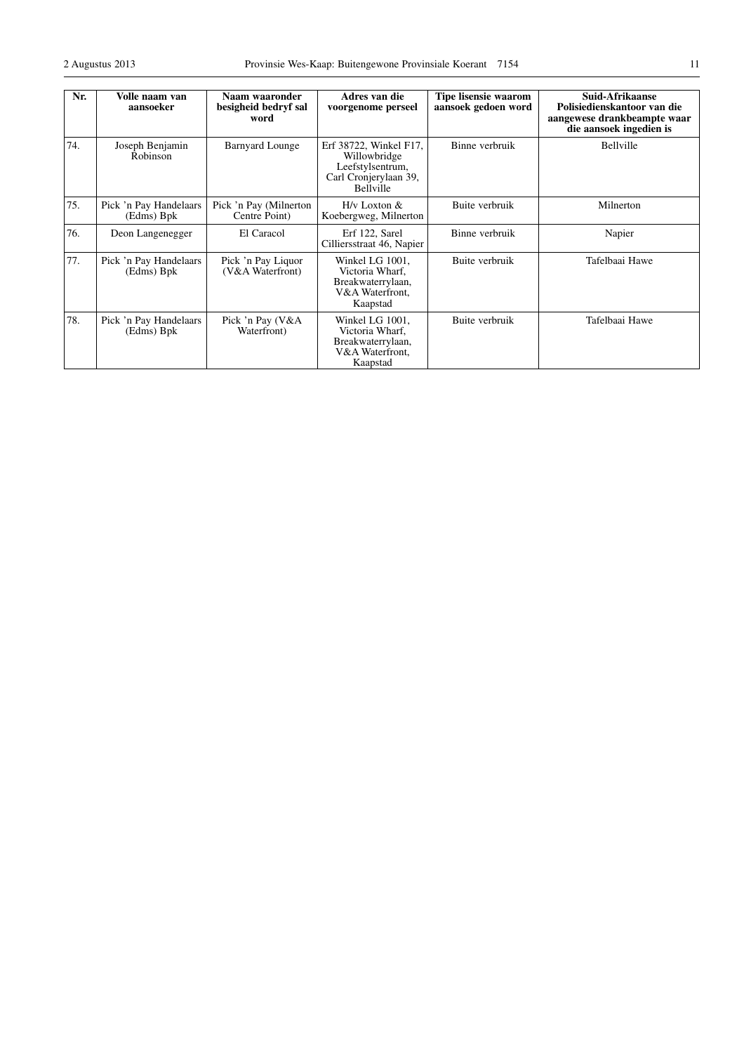| Nr. | Volle naam van<br>aansoeker          | Naam waaronder<br>besigheid bedryf sal<br>word | Adres van die<br>voorgenome perseel                                                                     | Tipe lisensie waarom<br>aansoek gedoen word | Suid-Afrikaanse<br>Polisiedienskantoor van die<br>aangewese drankbeampte waar<br>die aansoek ingedien is |
|-----|--------------------------------------|------------------------------------------------|---------------------------------------------------------------------------------------------------------|---------------------------------------------|----------------------------------------------------------------------------------------------------------|
| 74. | Joseph Benjamin<br>Robinson          | <b>Barnyard Lounge</b>                         | Erf 38722, Winkel F17,<br>Willowbridge<br>Leefstylsentrum,<br>Carl Cronjerylaan 39,<br><b>Bellyille</b> | Binne verbruik                              | Bellville                                                                                                |
| 75. | Pick 'n Pay Handelaars<br>(Edms) Bpk | Pick 'n Pay (Milnerton<br>Centre Point)        | $H/v$ Loxton $&$<br>Koebergweg, Milnerton                                                               | Buite verbruik                              | Milnerton                                                                                                |
| 76. | Deon Langenegger                     | El Caracol                                     | Erf 122, Sarel<br>Cilliersstraat 46, Napier                                                             | Binne verbruik                              | Napier                                                                                                   |
| 77. | Pick 'n Pay Handelaars<br>(Edms) Bpk | Pick 'n Pay Liquor<br>(V&A Waterfront)         | Winkel LG 1001,<br>Victoria Wharf.<br>Breakwaterrylaan,<br>V&A Waterfront,<br>Kaapstad                  | Buite verbruik                              | Tafelbaai Hawe                                                                                           |
| 78. | Pick 'n Pay Handelaars<br>(Edms) Bpk | Pick 'n Pay (V&A<br>Waterfront)                | Winkel LG 1001,<br>Victoria Wharf,<br>Breakwaterrylaan,<br>V&A Waterfront.<br>Kaapstad                  | Buite verbruik                              | Tafelbaai Hawe                                                                                           |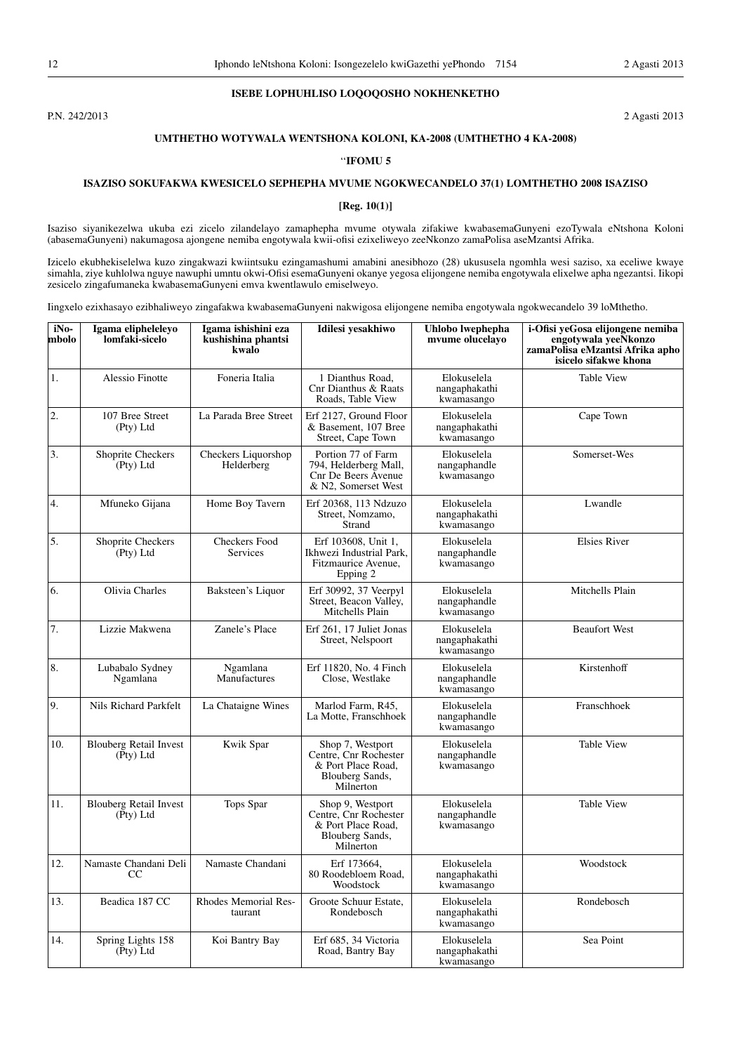## **ISEBE LOPHUHLISO LOQOQOSHO NOKHENKETHO**

P.N. 242/2013 2 Agasti 2013

# **UMTHETHO WOTYWALA WENTSHONA KOLONI, KA-2008 (UMTHETHO 4 KA-2008)**

## ''**IFOMU 5**

# **ISAZISO SOKUFAKWA KWESICELO SEPHEPHA MVUME NGOKWECANDELO 37(1) LOMTHETHO 2008 ISAZISO**

## **[Reg. 10(1)]**

Isaziso siyanikezelwa ukuba ezi zicelo zilandelayo zamaphepha mvume otywala zifakiwe kwabasemaGunyeni ezoTywala eNtshona Koloni (abasemaGunyeni) nakumagosa ajongene nemiba engotywala kwii-ofisi ezixeliweyo zeeNkonzo zamaPolisa aseMzantsi Afrika.

Izicelo ekubhekiselelwa kuzo zingakwazi kwiintsuku ezingamashumi amabini anesibhozo (28) ukususela ngomhla wesi saziso, xa eceliwe kwaye simahla, ziye kuhlolwa nguye nawuphi umntu okwi-Ofisi esemaGunyeni okanye yegosa elijongene nemiba engotywala elixelwe apha ngezantsi. Iikopi zesicelo zingafumaneka kwabasemaGunyeni emva kwentlawulo emiselweyo.

Iingxelo ezixhasayo ezibhaliweyo zingafakwa kwabasemaGunyeni nakwigosa elijongene nemiba engotywala ngokwecandelo 39 loMthetho.

| iNo-<br>mbolo | Igama elipheleleyo<br>lomfaki-sicelo       | Igama ishishini eza<br>kushishina phantsi<br>kwalo | Idilesi yesakhiwo                                                                               | Uhlobo lwephepha<br>mvume olucelayo        | i-Ofisi yeGosa elijongene nemiba<br>engotywala yeeNkonzo<br>zamaPolisa eMzantsi Afrika apho<br>isicelo sifakwe khona |
|---------------|--------------------------------------------|----------------------------------------------------|-------------------------------------------------------------------------------------------------|--------------------------------------------|----------------------------------------------------------------------------------------------------------------------|
| 1.            | Alessio Finotte                            | Foneria Italia                                     | 1 Dianthus Road.<br>Cnr Dianthus & Raats<br>Roads, Table View                                   | Elokuselela<br>nangaphakathi<br>kwamasango | <b>Table View</b>                                                                                                    |
| 2.            | 107 Bree Street<br>(Pty) Ltd               | La Parada Bree Street                              | Erf 2127, Ground Floor<br>& Basement, 107 Bree<br>Street, Cape Town                             | Elokuselela<br>nangaphakathi<br>kwamasango | Cape Town                                                                                                            |
| 3.            | Shoprite Checkers<br>(Pty) Ltd             | Checkers Liquorshop<br>Helderberg                  | Portion 77 of Farm<br>794, Helderberg Mall,<br>Cnr De Beers Avenue<br>& N2, Somerset West       | Elokuselela<br>nangaphandle<br>kwamasango  | Somerset-Wes                                                                                                         |
| 4.            | Mfuneko Gijana                             | Home Boy Tavern                                    | Erf 20368, 113 Ndzuzo<br>Street, Nomzamo,<br>Strand                                             | Elokuselela<br>nangaphakathi<br>kwamasango | Lwandle                                                                                                              |
| 5.            | Shoprite Checkers<br>(Pty) Ltd             | <b>Checkers Food</b><br>Services                   | Erf 103608, Unit 1,<br>Ikhwezi Industrial Park.<br>Fitzmaurice Avenue,<br>Epping 2              | Elokuselela<br>nangaphandle<br>kwamasango  | <b>Elsies River</b>                                                                                                  |
| 6.            | Olivia Charles                             | Baksteen's Liquor                                  | Erf 30992, 37 Veerpyl<br>Street, Beacon Valley,<br>Mitchells Plain                              | Elokuselela<br>nangaphandle<br>kwamasango  | Mitchells Plain                                                                                                      |
| 7.            | Lizzie Makwena                             | Zanele's Place                                     | Erf 261, 17 Juliet Jonas<br>Street, Nelspoort                                                   | Elokuselela<br>nangaphakathi<br>kwamasango | <b>Beaufort West</b>                                                                                                 |
| 8.            | Lubabalo Sydney<br>Ngamlana                | Ngamlana<br>Manufactures                           | Erf 11820, No. 4 Finch<br>Close, Westlake                                                       | Elokuselela<br>nangaphandle<br>kwamasango  | Kirstenhoff                                                                                                          |
| 9.            | Nils Richard Parkfelt                      | La Chataigne Wines                                 | Marlod Farm, R45,<br>La Motte, Franschhoek                                                      | Elokuselela<br>nangaphandle<br>kwamasango  | Franschhoek                                                                                                          |
| 10.           | <b>Blouberg Retail Invest</b><br>(Pty) Ltd | Kwik Spar                                          | Shop 7, Westport<br>Centre, Cnr Rochester<br>& Port Place Road,<br>Blouberg Sands,<br>Milnerton | Elokuselela<br>nangaphandle<br>kwamasango  | Table View                                                                                                           |
| 11.           | <b>Blouberg Retail Invest</b><br>(Pty) Ltd | Tops Spar                                          | Shop 9, Westport<br>Centre, Cnr Rochester<br>& Port Place Road,<br>Blouberg Sands,<br>Milnerton | Elokuselela<br>nangaphandle<br>kwamasango  | <b>Table View</b>                                                                                                    |
| 12.           | Namaste Chandani Deli<br>CC                | Namaste Chandani                                   | Erf 173664.<br>80 Roodebloem Road,<br>Woodstock                                                 | Elokuselela<br>nangaphakathi<br>kwamasango | Woodstock                                                                                                            |
| 13.           | Beadica 187 CC                             | Rhodes Memorial Res-<br>taurant                    | Groote Schuur Estate.<br>Rondebosch                                                             | Elokuselela<br>nangaphakathi<br>kwamasango | Rondebosch                                                                                                           |
| 14.           | Spring Lights 158<br>(Pty) Ltd             | Koi Bantry Bay                                     | Erf 685, 34 Victoria<br>Road, Bantry Bay                                                        | Elokuselela<br>nangaphakathi<br>kwamasango | Sea Point                                                                                                            |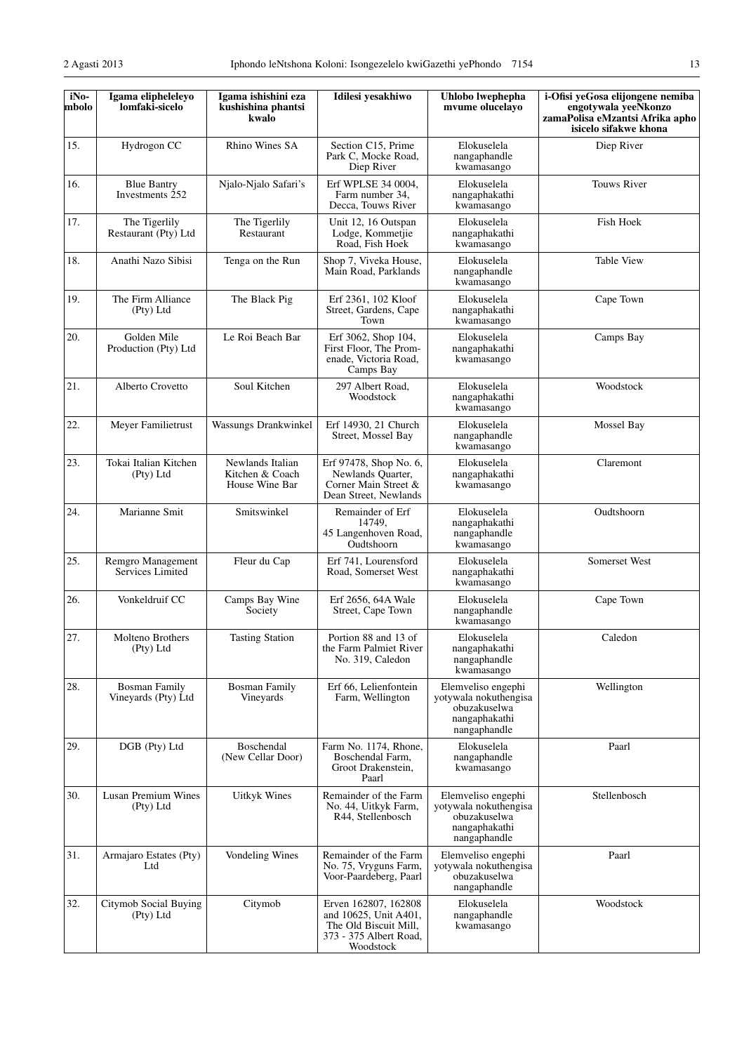| iNo-<br>mbolo | Igama elipheleleyo<br>lomfaki-sicelo        | Igama ishishini eza<br>kushishina phantsi<br>kwalo    | Idilesi yesakhiwo                                                                                             | Uhlobo lwephepha<br>mvume olucelayo                                                          | i-Ofisi yeGosa elijongene nemiba<br>engotywala yeeNkonzo<br>zamaPolisa eMzantsi Afrika apho<br>isicelo sifakwe khona |
|---------------|---------------------------------------------|-------------------------------------------------------|---------------------------------------------------------------------------------------------------------------|----------------------------------------------------------------------------------------------|----------------------------------------------------------------------------------------------------------------------|
| 15.           | Hydrogon CC                                 | Rhino Wines SA                                        | Section C15, Prime<br>Park C, Mocke Road,<br>Diep River                                                       | Elokuselela<br>nangaphandle<br>kwamasango                                                    | Diep River                                                                                                           |
| 16.           | <b>Blue Bantry</b><br>Investments 252       | Njalo-Njalo Safari's                                  | Erf WPLSE 34 0004,<br>Farm number 34,<br>Decca, Touws River                                                   | Elokuselela<br>nangaphakathi<br>kwamasango                                                   | <b>Touws River</b>                                                                                                   |
| 17.           | The Tigerlily<br>Restaurant (Pty) Ltd       | The Tigerlily<br>Restaurant                           | Unit 12, 16 Outspan<br>Lodge, Kommetjie<br>Road, Fish Hoek                                                    | Elokuselela<br>nangaphakathi<br>kwamasango                                                   | Fish Hoek                                                                                                            |
| 18.           | Anathi Nazo Sibisi                          | Tenga on the Run                                      | Shop 7, Viveka House,<br>Main Road, Parklands                                                                 | Elokuselela<br>nangaphandle<br>kwamasango                                                    | <b>Table View</b>                                                                                                    |
| 19.           | The Firm Alliance<br>(Pty) Ltd              | The Black Pig                                         | Erf 2361, 102 Kloof<br>Street, Gardens, Cape<br>Town                                                          | Elokuselela<br>nangaphakathi<br>kwamasango                                                   | Cape Town                                                                                                            |
| 20.           | Golden Mile<br>Production (Pty) Ltd         | Le Roi Beach Bar                                      | Erf 3062, Shop 104,<br>First Floor, The Prom-<br>enade, Victoria Road,<br>Camps Bay                           | Elokuselela<br>nangaphakathi<br>kwamasango                                                   | Camps Bay                                                                                                            |
| 21.           | Alberto Crovetto                            | Soul Kitchen                                          | 297 Albert Road,<br>Woodstock                                                                                 | Elokuselela<br>nangaphakathi<br>kwamasango                                                   | Woodstock                                                                                                            |
| 22.           | Meyer Familietrust                          | Wassungs Drankwinkel                                  | Erf 14930, 21 Church<br>Street, Mossel Bay                                                                    | Elokuselela<br>nangaphandle<br>kwamasango                                                    | Mossel Bay                                                                                                           |
| 23.           | Tokai Italian Kitchen<br>(Pty) Ltd          | Newlands Italian<br>Kitchen & Coach<br>House Wine Bar | Erf 97478, Shop No. 6,<br>Newlands Quarter,<br>Corner Main Street &<br>Dean Street, Newlands                  | Elokuselela<br>nangaphakathi<br>kwamasango                                                   | Claremont                                                                                                            |
| 24.           | Marianne Smit                               | Smitswinkel                                           | Remainder of Erf<br>14749,<br>45 Langenhoven Road,<br>Oudtshoorn                                              | Elokuselela<br>nangaphakathi<br>nangaphandle<br>kwamasango                                   | Oudtshoorn                                                                                                           |
| 25.           | Remgro Management<br>Services Limited       | Fleur du Cap                                          | Erf 741, Lourensford<br>Road, Somerset West                                                                   | Elokuselela<br>nangaphakathi<br>kwamasango                                                   | Somerset West                                                                                                        |
| 26.           | Vonkeldruif CC                              | Camps Bay Wine<br>Society                             | Erf 2656, 64A Wale<br>Street, Cape Town                                                                       | Elokuselela<br>nangaphandle<br>kwamasango                                                    | Cape Town                                                                                                            |
| 27.           | Molteno Brothers<br>(Pty) Ltd               | <b>Tasting Station</b>                                | Portion 88 and 13 of<br>the Farm Palmiet River<br>No. 319, Caledon                                            | Elokuselela<br>nangaphakathi<br>nangaphandle<br>kwamasango                                   | Caledon                                                                                                              |
| 28.           | <b>Bosman Family</b><br>Vineyards (Pty) Ltd | <b>Bosman Family</b><br>Vineyards                     | Erf 66. Lelienfontein<br>Farm, Wellington                                                                     | Elemveliso engephi<br>yotywala nokuthengisa<br>obuzakuselwa<br>nangaphakathi<br>nangaphandle | Wellington                                                                                                           |
| 29.           | DGB (Pty) Ltd                               | Boschendal<br>(New Cellar Door)                       | Farm No. 1174, Rhone,<br>Boschendal Farm,<br>Groot Drakenstein,<br>Paarl                                      | Elokuselela<br>nangaphandle<br>kwamasango                                                    | Paarl                                                                                                                |
| 30.           | Lusan Premium Wines<br>(Pty) Ltd            | <b>Uitkyk Wines</b>                                   | Remainder of the Farm<br>No. 44, Uitkyk Farm,<br>R44, Stellenbosch                                            | Elemveliso engephi<br>yotywala nokuthengisa<br>obuzakuselwa<br>nangaphakathi<br>nangaphandle | Stellenbosch                                                                                                         |
| 31.           | Armajaro Estates (Pty)<br>Ltd               | Vondeling Wines                                       | Remainder of the Farm<br>No. 75, Vryguns Farm,<br>Voor-Paardeberg, Paarl                                      | Elemveliso engephi<br>yotywala nokuthengisa<br>obuzakuselwa<br>nangaphandle                  | Paarl                                                                                                                |
| 32.           | Citymob Social Buying<br>(Pty) Ltd          | Citymob                                               | Erven 162807, 162808<br>and 10625, Unit A401,<br>The Old Biscuit Mill,<br>373 - 375 Albert Road,<br>Woodstock | Elokuselela<br>nangaphandle<br>kwamasango                                                    | Woodstock                                                                                                            |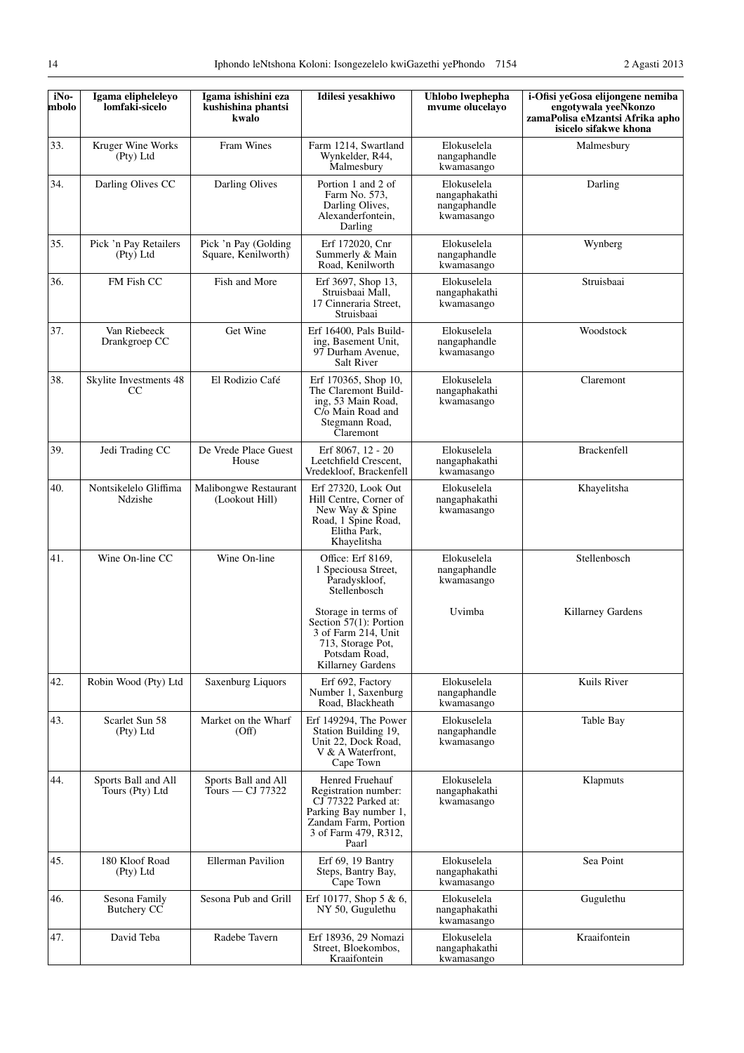| iNo-<br>mbolo | Igama elipheleleyo<br>lomfaki-sicelo    | Igama ishishini eza<br>kushishina phantsi<br>kwalo | Idilesi yesakhiwo                                                                                                                                | Uhlobo lwephepha<br>mvume olucelayo                        | i-Ofisi yeGosa elijongene nemiba<br>engotywala veeNkonzo<br>zamaPolisa eMzantsi Afrika apho<br>isicelo sifakwe khona |
|---------------|-----------------------------------------|----------------------------------------------------|--------------------------------------------------------------------------------------------------------------------------------------------------|------------------------------------------------------------|----------------------------------------------------------------------------------------------------------------------|
| 33.           | Kruger Wine Works<br>(Pty) Ltd          | Fram Wines                                         | Farm 1214, Swartland<br>Wynkelder, R44,<br>Malmesbury                                                                                            | Elokuselela<br>nangaphandle<br>kwamasango                  | Malmesbury                                                                                                           |
| 34.           | Darling Olives CC                       | Darling Olives                                     | Portion 1 and 2 of<br>Farm No. 573,<br>Darling Olives,<br>Alexanderfontein,<br>Darling                                                           | Elokuselela<br>nangaphakathi<br>nangaphandle<br>kwamasango | Darling                                                                                                              |
| 35.           | Pick 'n Pay Retailers<br>(Pty) Ltd      | Pick 'n Pay (Golding<br>Square, Kenilworth)        | Erf 172020, Cnr<br>Summerly & Main<br>Road, Kenilworth                                                                                           | Elokuselela<br>nangaphandle<br>kwamasango                  | Wynberg                                                                                                              |
| 36.           | FM Fish CC                              | Fish and More                                      | Erf 3697, Shop 13,<br>Struisbaai Mall,<br>17 Cinneraria Street,<br>Struisbaai                                                                    | Elokuselela<br>nangaphakathi<br>kwamasango                 | Struisbaai                                                                                                           |
| 37.           | Van Riebeeck<br>Drankgroep CC           | Get Wine                                           | Erf 16400, Pals Build-<br>ing, Basement Unit,<br>97 Durham Avenue,<br>Salt River                                                                 | Elokuselela<br>nangaphandle<br>kwamasango                  | Woodstock                                                                                                            |
| 38.           | Skylite Investments 48<br><sub>CC</sub> | El Rodizio Café                                    | Erf 170365, Shop 10,<br>The Claremont Build-<br>ing, 53 Main Road,<br>C/o Main Road and<br>Stegmann Road,<br>Claremont                           | Elokuselela<br>nangaphakathi<br>kwamasango                 | Claremont                                                                                                            |
| 39.           | Jedi Trading CC                         | De Vrede Place Guest<br>House                      | Erf 8067, 12 - 20<br>Leetchfield Crescent,<br>Vredekloof, Brackenfell                                                                            | Elokuselela<br>nangaphakathi<br>kwamasango                 | Brackenfell                                                                                                          |
| 40.           | Nontsikelelo Gliffima<br>Ndzishe        | Malibongwe Restaurant<br>(Lookout Hill)            | Erf 27320, Look Out<br>Hill Centre, Corner of<br>New Way & Spine<br>Road, 1 Spine Road,<br>Elitha Park,<br>Khayelitsha                           | Elokuselela<br>nangaphakathi<br>kwamasango                 | Khayelitsha                                                                                                          |
| 41.           | Wine On-line CC                         | Wine On-line                                       | Office: Erf 8169,<br>1 Speciousa Street,<br>Paradyskloof,<br>Stellenbosch                                                                        | Elokuselela<br>nangaphandle<br>kwamasango                  | Stellenbosch                                                                                                         |
|               |                                         |                                                    | Storage in terms of<br>Section 57(1): Portion<br>3 of Farm 214, Unit<br>713, Storage Pot,<br>Potsdam Road,<br>Killarney Gardens                  | Uvimba                                                     | Killarney Gardens                                                                                                    |
| 42.           | Robin Wood (Pty) Ltd                    | Saxenburg Liquors                                  | Erf 692, Factory<br>Number 1, Saxenburg<br>Road, Blackheath                                                                                      | Elokuselela<br>nangaphandle<br>kwamasango                  | Kuils River                                                                                                          |
| 43.           | Scarlet Sun 58<br>(Pty) Ltd             | Market on the Wharf<br>(Off)                       | Erf 149294, The Power<br>Station Building 19,<br>Unit 22, Dock Road,<br>V & A Waterfront,<br>Cape Town                                           | Elokuselela<br>nangaphandle<br>kwamasango                  | Table Bay                                                                                                            |
| 44.           | Sports Ball and All<br>Tours (Pty) Ltd  | Sports Ball and All<br>Tours — $CI$ 77322          | Henred Fruehauf<br>Registration number:<br>CJ 77322 Parked at:<br>Parking Bay number 1,<br>Zandam Farm, Portion<br>3 of Farm 479, R312,<br>Paarl | Elokuselela<br>nangaphakathi<br>kwamasango                 | Klapmuts                                                                                                             |
| 45.           | 180 Kloof Road<br>(Pty) Ltd             | <b>Ellerman Pavilion</b>                           | Erf 69, 19 Bantry<br>Steps, Bantry Bay,<br>Cape Town                                                                                             | Elokuselela<br>nangaphakathi<br>kwamasango                 | Sea Point                                                                                                            |
| 46.           | Sesona Family<br><b>Butchery CC</b>     | Sesona Pub and Grill                               | Erf 10177, Shop $5 & 6$ ,<br>NY 50, Gugulethu                                                                                                    | Elokuselela<br>nangaphakathi<br>kwamasango                 | Gugulethu                                                                                                            |
| 47.           | David Teba                              | Radebe Tavern                                      | Erf 18936, 29 Nomazi<br>Street, Bloekombos,<br>Kraaifontein                                                                                      | Elokuselela<br>nangaphakathi<br>kwamasango                 | Kraaifontein                                                                                                         |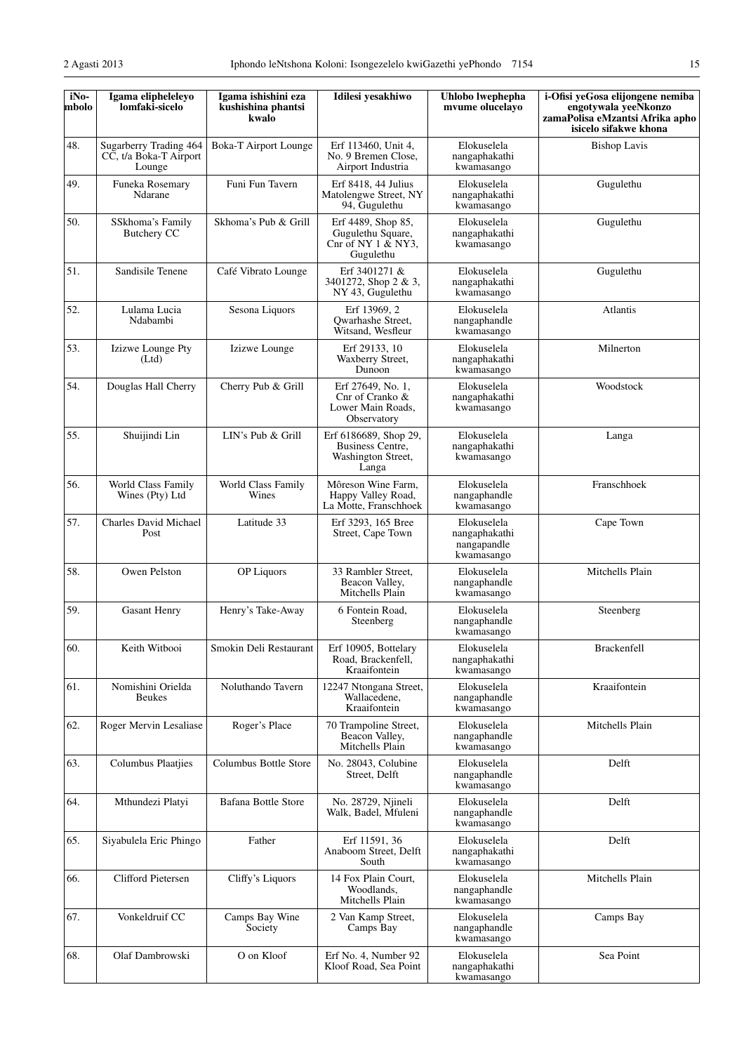| iNo-<br>mbolo | Igama elipheleleyo<br>lomfaki-sicelo                       | Igama ishishini eza<br>kushishina phantsi<br>kwalo | Idilesi yesakhiwo                                                              | Uhlobo lwephepha<br>mvume olucelayo                       | i-Ofisi yeGosa elijongene nemiba<br>engotywala yeeNkonzo<br>zamaPolisa eMzantsi Afrika apho<br>isicelo sifakwe khona |
|---------------|------------------------------------------------------------|----------------------------------------------------|--------------------------------------------------------------------------------|-----------------------------------------------------------|----------------------------------------------------------------------------------------------------------------------|
| 48.           | Sugarberry Trading 464<br>CC, t/a Boka-T Airport<br>Lounge | Boka-T Airport Lounge                              | Erf 113460, Unit 4,<br>No. 9 Bremen Close,<br>Airport Industria                | Elokuselela<br>nangaphakathi<br>kwamasango                | <b>Bishop Lavis</b>                                                                                                  |
| 49.           | Funeka Rosemary<br>Ndarane                                 | Funi Fun Tavern                                    | Erf 8418, 44 Julius<br>Matolengwe Street, NY<br>94, Gugulethu                  | Elokuselela<br>nangaphakathi<br>kwamasango                | Gugulethu                                                                                                            |
| 50.           | SSkhoma's Family<br>Butchery CC                            | Skhoma's Pub & Grill                               | Erf 4489, Shop 85,<br>Gugulethu Square,<br>Cnr of NY $1 \& NY3$ ,<br>Gugulethu | Elokuselela<br>nangaphakathi<br>kwamasango                | Gugulethu                                                                                                            |
| 51.           | Sandisile Tenene                                           | Café Vibrato Lounge                                | Erf 3401271 &<br>3401272, Shop 2 & 3,<br>NY 43, Gugulethu                      | Elokuselela<br>nangaphakathi<br>kwamasango                | Gugulethu                                                                                                            |
| 52.           | Lulama Lucia<br>Ndabambi                                   | Sesona Liquors                                     | Erf 13969, 2<br>Qwarhashe Street,<br>Witsand, Wesfleur                         | Elokuselela<br>nangaphandle<br>kwamasango                 | Atlantis                                                                                                             |
| 53.           | Izizwe Lounge Pty<br>(Ltd)                                 | Izizwe Lounge                                      | Erf 29133, 10<br>Waxberry Street,<br>Dunoon                                    | Elokuselela<br>nangaphakathi<br>kwamasango                | Milnerton                                                                                                            |
| 54.           | Douglas Hall Cherry                                        | Cherry Pub & Grill                                 | Erf 27649, No. 1,<br>Cnr of Cranko &<br>Lower Main Roads,<br>Observatory       | Elokuselela<br>nangaphakathi<br>kwamasango                | Woodstock                                                                                                            |
| 55.           | Shuijindi Lin                                              | LIN's Pub & Grill                                  | Erf 6186689, Shop 29,<br>Business Centre,<br>Washington Street,<br>Langa       | Elokuselela<br>nangaphakathi<br>kwamasango                | Langa                                                                                                                |
| 56.           | World Class Family<br>Wines (Pty) Ltd                      | World Class Family<br>Wines                        | Môreson Wine Farm,<br>Happy Valley Road,<br>La Motte, Franschhoek              | Elokuselela<br>nangaphandle<br>kwamasango                 | Franschhoek                                                                                                          |
| 57.           | Charles David Michael<br>Post                              | Latitude 33                                        | Erf 3293, 165 Bree<br>Street, Cape Town                                        | Elokuselela<br>nangaphakathi<br>nangapandle<br>kwamasango | Cape Town                                                                                                            |
| 58.           | Owen Pelston                                               | <b>OP</b> Liquors                                  | 33 Rambler Street,<br>Beacon Valley,<br>Mitchells Plain                        | Elokuselela<br>nangaphandle<br>kwamasango                 | Mitchells Plain                                                                                                      |
| 59.           | <b>Gasant Henry</b>                                        | Henry's Take-Away                                  | 6 Fontein Road,<br>Steenberg                                                   | Elokuselela<br>nangaphandle<br>kwamasango                 | Steenberg                                                                                                            |
| 60.           | Keith Witbooi                                              | Smokin Deli Restaurant                             | Erf 10905, Bottelary<br>Road, Brackenfell,<br>Kraaifontein                     | Elokuselela<br>nangaphakathi<br>kwamasango                | <b>Brackenfell</b>                                                                                                   |
| 61.           | Nomishini Orielda<br><b>Beukes</b>                         | Noluthando Tavern                                  | 12247 Ntongana Street,<br>Wallacedene,<br>Kraaifontein                         | Elokuselela<br>nangaphandle<br>kwamasango                 | Kraaifontein                                                                                                         |
| 62.           | Roger Mervin Lesaliase                                     | Roger's Place                                      | 70 Trampoline Street,<br>Beacon Valley,<br>Mitchells Plain                     | Elokuselela<br>nangaphandle<br>kwamasango                 | Mitchells Plain                                                                                                      |
| 63.           | Columbus Plaatjies                                         | Columbus Bottle Store                              | No. 28043, Colubine<br>Street, Delft                                           | Elokuselela<br>nangaphandle<br>kwamasango                 | Delft                                                                                                                |
| 64.           | Mthundezi Platyi                                           | Bafana Bottle Store                                | No. 28729, Njineli<br>Walk, Badel, Mfuleni                                     | Elokuselela<br>nangaphandle<br>kwamasango                 | Delft                                                                                                                |
| 65.           | Siyabulela Eric Phingo                                     | Father                                             | Erf 11591, 36<br>Anaboom Street, Delft<br>South                                | Elokuselela<br>nangaphakathi<br>kwamasango                | Delft                                                                                                                |
| 66.           | Clifford Pietersen                                         | Cliffy's Liquors                                   | 14 Fox Plain Court,<br>Woodlands,<br>Mitchells Plain                           | Elokuselela<br>nangaphandle<br>kwamasango                 | Mitchells Plain                                                                                                      |
| 67.           | Vonkeldruif CC                                             | Camps Bay Wine<br>Society                          | 2 Van Kamp Street,<br>Camps Bay                                                | Elokuselela<br>nangaphandle<br>kwamasango                 | Camps Bay                                                                                                            |
| 68.           | Olaf Dambrowski                                            | O on Kloof                                         | Erf No. 4, Number 92<br>Kloof Road, Sea Point                                  | Elokuselela<br>nangaphakathi<br>kwamasango                | Sea Point                                                                                                            |